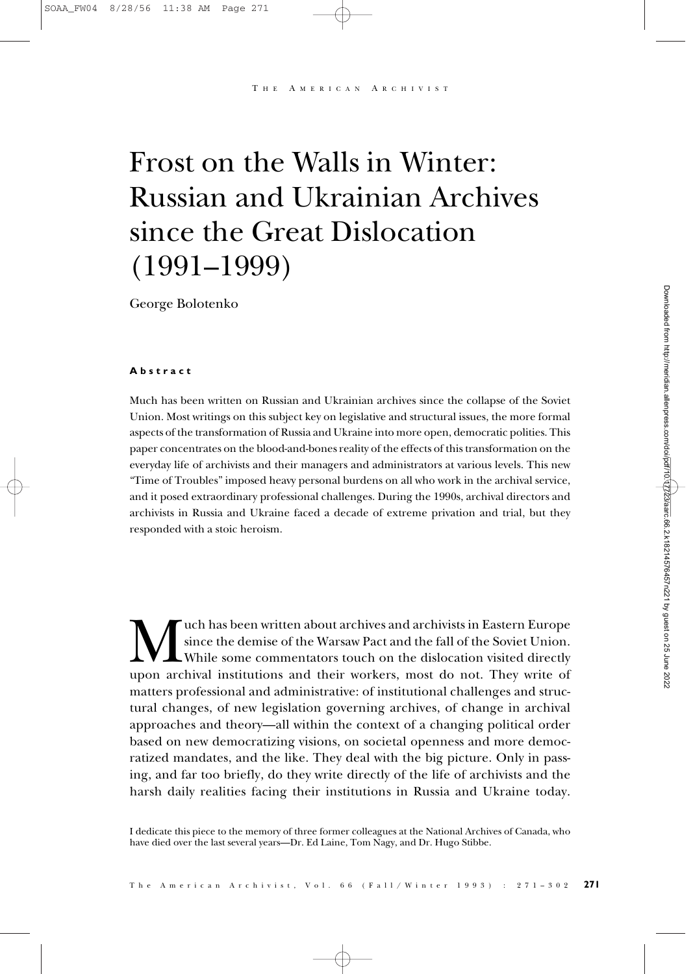A MERICAN ARCHIVIST

# Frost on the Walls in Winter: Russian and Ukrainian Archives since the Great Dislocation (1991–1999)

George Bolotenko

#### **Abstract**

Much has been written on Russian and Ukrainian archives since the collapse of the Soviet Union. Most writings on this subject key on legislative and structural issues, the more formal aspects of the transformation of Russia and Ukraine into more open, democratic polities. This paper concentrates on the blood-and-bones reality of the effects of this transformation on the everyday life of archivists and their managers and administrators at various levels. This new "Time of Troubles" imposed heavy personal burdens on all who work in the archival service, and it posed extraordinary professional challenges. During the 1990s, archival directors and archivists in Russia and Ukraine faced a decade of extreme privation and trial, but they responded with a stoic heroism.

uch has been written about archives and archivists in Eastern Europe since the demise of the Warsaw Pact and the fall of the Soviet Union. While some commentators touch on the dislocation visited directly upon archival institutions and their workers, most do not. They write of matters professional and administrative: of institutional challenges and structural changes, of new legislation governing archives, of change in archival approaches and theory—all within the context of a changing political order based on new democratizing visions, on societal openness and more democratized mandates, and the like. They deal with the big picture. Only in passing, and far too briefly, do they write directly of the life of archivists and the harsh daily realities facing their institutions in Russia and Ukraine today.

I dedicate this piece to the memory of three former colleagues at the National Archives of Canada, who have died over the last several years—Dr. Ed Laine, Tom Nagy, and Dr. Hugo Stibbe.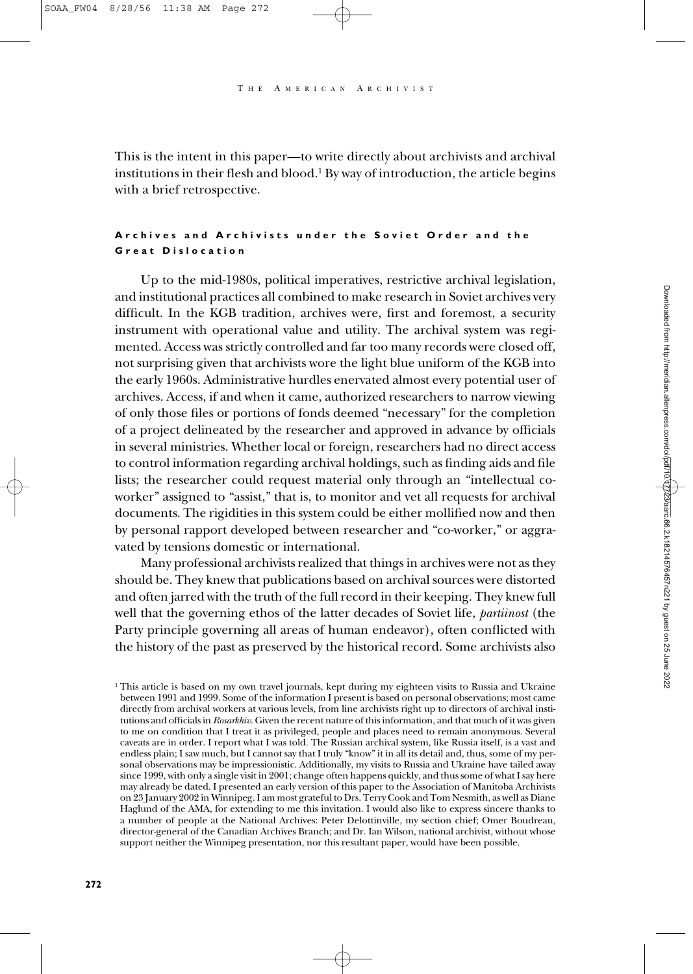This is the intent in this paper—to write directly about archivists and archival institutions in their flesh and blood.1 By way of introduction, the article begins with a brief retrospective.

# **Archives and Archivists under the Soviet Order and the Great Dislocation**

Up to the mid-1980s, political imperatives, restrictive archival legislation, and institutional practices all combined to make research in Soviet archives very difficult. In the KGB tradition, archives were, first and foremost, a security instrument with operational value and utility. The archival system was regimented. Access was strictly controlled and far too many records were closed off, not surprising given that archivists wore the light blue uniform of the KGB into the early 1960s. Administrative hurdles enervated almost every potential user of archives. Access, if and when it came, authorized researchers to narrow viewing of only those files or portions of fonds deemed "necessary" for the completion of a project delineated by the researcher and approved in advance by officials in several ministries. Whether local or foreign, researchers had no direct access to control information regarding archival holdings, such as finding aids and file lists; the researcher could request material only through an "intellectual coworker" assigned to "assist," that is, to monitor and vet all requests for archival documents. The rigidities in this system could be either mollified now and then by personal rapport developed between researcher and "co-worker," or aggravated by tensions domestic or international.

Many professional archivists realized that things in archives were not as they should be. They knew that publications based on archival sources were distorted and often jarred with the truth of the full record in their keeping. They knew full well that the governing ethos of the latter decades of Soviet life, *partiinost* (the Party principle governing all areas of human endeavor), often conflicted with the history of the past as preserved by the historical record. Some archivists also

<sup>&</sup>lt;sup>1</sup> This article is based on my own travel journals, kept during my eighteen visits to Russia and Ukraine between 1991 and 1999. Some of the information I present is based on personal observations; most came directly from archival workers at various levels, from line archivists right up to directors of archival institutions and officials in *Rosarkhiv*. Given the recent nature of this information, and that much of it was given to me on condition that I treat it as privileged, people and places need to remain anonymous. Several caveats are in order. I report what I was told. The Russian archival system, like Russia itself, is a vast and endless plain; I saw much, but I cannot say that I truly "know" it in all its detail and, thus, some of my personal observations may be impressionistic. Additionally, my visits to Russia and Ukraine have tailed away since 1999, with only a single visit in 2001; change often happens quickly, and thus some of what I say here may already be dated. I presented an early version of this paper to the Association of Manitoba Archivists on 23 January 2002 in Winnipeg. I am most grateful to Drs. Terry Cook and Tom Nesmith, as well as Diane Haglund of the AMA, for extending to me this invitation. I would also like to express sincere thanks to a number of people at the National Archives: Peter Delottinville, my section chief; Omer Boudreau, director-general of the Canadian Archives Branch; and Dr. Ian Wilson, national archivist, without whose support neither the Winnipeg presentation, nor this resultant paper, would have been possible.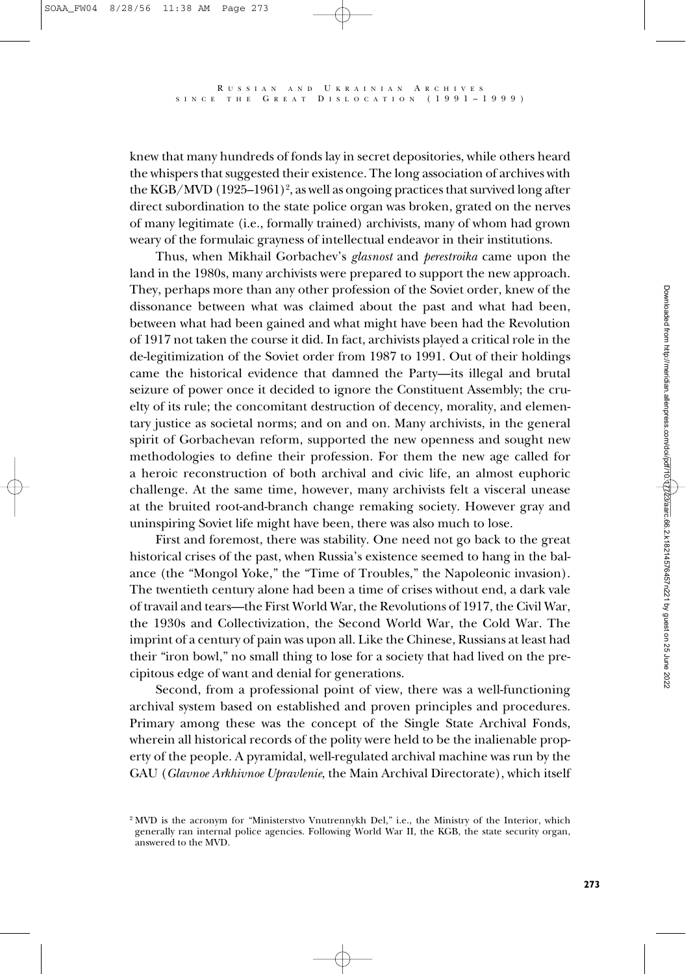knew that many hundreds of fonds lay in secret depositories, while others heard the whispers that suggested their existence. The long association of archives with the KGB/MVD  $(1925-1961)^2$ , as well as ongoing practices that survived long after direct subordination to the state police organ was broken, grated on the nerves of many legitimate (i.e., formally trained) archivists, many of whom had grown weary of the formulaic grayness of intellectual endeavor in their institutions.

Thus, when Mikhail Gorbachev's *glasnost* and *perestroika* came upon the land in the 1980s, many archivists were prepared to support the new approach. They, perhaps more than any other profession of the Soviet order, knew of the dissonance between what was claimed about the past and what had been, between what had been gained and what might have been had the Revolution of 1917 not taken the course it did. In fact, archivists played a critical role in the de-legitimization of the Soviet order from 1987 to 1991. Out of their holdings came the historical evidence that damned the Party—its illegal and brutal seizure of power once it decided to ignore the Constituent Assembly; the cruelty of its rule; the concomitant destruction of decency, morality, and elementary justice as societal norms; and on and on. Many archivists, in the general spirit of Gorbachevan reform, supported the new openness and sought new methodologies to define their profession. For them the new age called for a heroic reconstruction of both archival and civic life, an almost euphoric challenge. At the same time, however, many archivists felt a visceral unease at the bruited root-and-branch change remaking society. However gray and uninspiring Soviet life might have been, there was also much to lose.

First and foremost, there was stability. One need not go back to the great historical crises of the past, when Russia's existence seemed to hang in the balance (the "Mongol Yoke," the "Time of Troubles," the Napoleonic invasion). The twentieth century alone had been a time of crises without end, a dark vale of travail and tears—the First World War, the Revolutions of 1917, the Civil War, the 1930s and Collectivization, the Second World War, the Cold War. The imprint of a century of pain was upon all. Like the Chinese, Russians at least had their "iron bowl," no small thing to lose for a society that had lived on the precipitous edge of want and denial for generations.

Second, from a professional point of view, there was a well-functioning archival system based on established and proven principles and procedures. Primary among these was the concept of the Single State Archival Fonds, wherein all historical records of the polity were held to be the inalienable property of the people. A pyramidal, well-regulated archival machine was run by the GAU (*Glavnoe Arkhivnoe Upravlenie*, the Main Archival Directorate), which itself

<sup>&</sup>lt;sup>2</sup> MVD is the acronym for "Ministerstvo Vnutrennykh Del," i.e., the Ministry of the Interior, which generally ran internal police agencies. Following World War II, the KGB, the state security organ, answered to the MVD.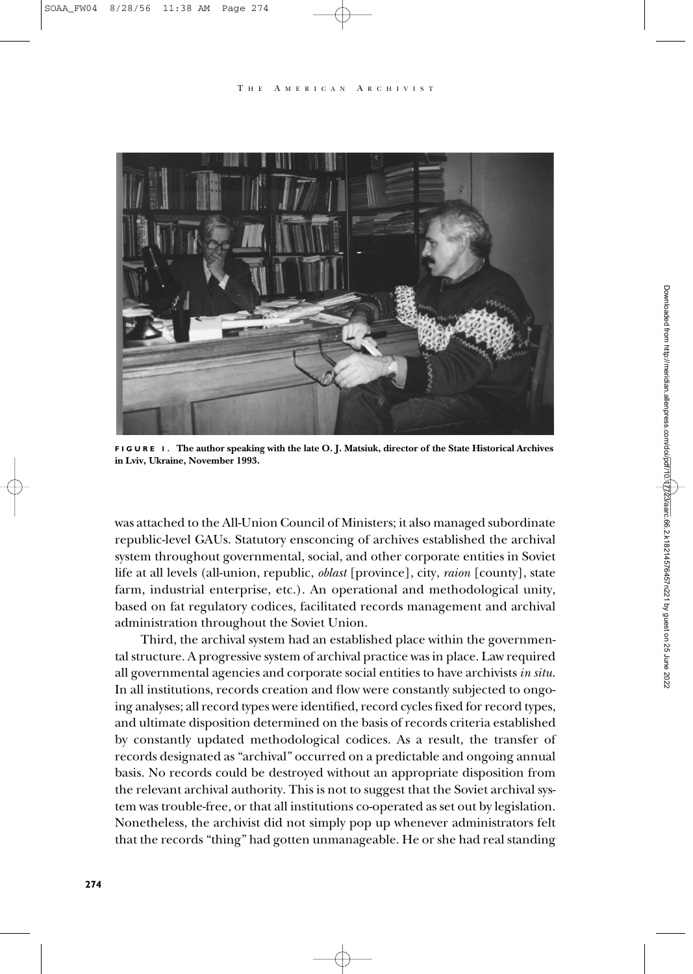#### A MERICAN ARCHIVIST



**FIGURE 1. The author speaking with the late O. J. Matsiuk, director of the State Historical Archives in Lviv, Ukraine, November 1993.**

was attached to the All-Union Council of Ministers; it also managed subordinate republic-level GAUs. Statutory ensconcing of archives established the archival system throughout governmental, social, and other corporate entities in Soviet life at all levels (all-union, republic, *oblast* [province], city, *raion* [county], state farm, industrial enterprise, etc.). An operational and methodological unity, based on fat regulatory codices, facilitated records management and archival administration throughout the Soviet Union.

Third, the archival system had an established place within the governmental structure. A progressive system of archival practice was in place. Law required all governmental agencies and corporate social entities to have archivists *in situ*. In all institutions, records creation and flow were constantly subjected to ongoing analyses; all record types were identified, record cycles fixed for record types, and ultimate disposition determined on the basis of records criteria established by constantly updated methodological codices. As a result, the transfer of records designated as "archival" occurred on a predictable and ongoing annual basis. No records could be destroyed without an appropriate disposition from the relevant archival authority. This is not to suggest that the Soviet archival system was trouble-free, or that all institutions co-operated as set out by legislation. Nonetheless, the archivist did not simply pop up whenever administrators felt that the records "thing" had gotten unmanageable. He or she had real standing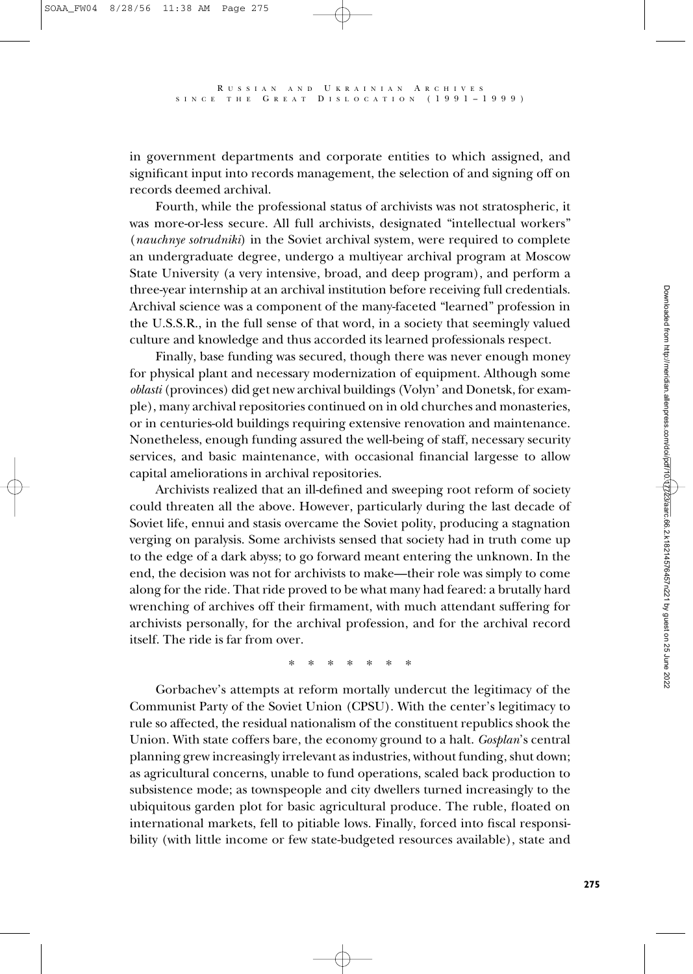in government departments and corporate entities to which assigned, and significant input into records management, the selection of and signing off on records deemed archival.

Fourth, while the professional status of archivists was not stratospheric, it was more-or-less secure. All full archivists, designated "intellectual workers" (*nauchnye sotrudniki*) in the Soviet archival system, were required to complete an undergraduate degree, undergo a multiyear archival program at Moscow State University (a very intensive, broad, and deep program), and perform a three-year internship at an archival institution before receiving full credentials. Archival science was a component of the many-faceted "learned" profession in the U.S.S.R., in the full sense of that word, in a society that seemingly valued culture and knowledge and thus accorded its learned professionals respect.

Finally, base funding was secured, though there was never enough money for physical plant and necessary modernization of equipment. Although some *oblasti* (provinces) did get new archival buildings (Volyn' and Donetsk, for example), many archival repositories continued on in old churches and monasteries, or in centuries-old buildings requiring extensive renovation and maintenance. Nonetheless, enough funding assured the well-being of staff, necessary security services, and basic maintenance, with occasional financial largesse to allow capital ameliorations in archival repositories.

Archivists realized that an ill-defined and sweeping root reform of society could threaten all the above. However, particularly during the last decade of Soviet life, ennui and stasis overcame the Soviet polity, producing a stagnation verging on paralysis. Some archivists sensed that society had in truth come up to the edge of a dark abyss; to go forward meant entering the unknown. In the end, the decision was not for archivists to make—their role was simply to come along for the ride. That ride proved to be what many had feared: a brutally hard wrenching of archives off their firmament, with much attendant suffering for archivists personally, for the archival profession, and for the archival record itself. The ride is far from over.

\*\*\*\*\*\*\*

Gorbachev's attempts at reform mortally undercut the legitimacy of the Communist Party of the Soviet Union (CPSU). With the center's legitimacy to rule so affected, the residual nationalism of the constituent republics shook the Union. With state coffers bare, the economy ground to a halt. *Gosplan*'s central planning grew increasingly irrelevant as industries, without funding, shut down; as agricultural concerns, unable to fund operations, scaled back production to subsistence mode; as townspeople and city dwellers turned increasingly to the ubiquitous garden plot for basic agricultural produce. The ruble, floated on international markets, fell to pitiable lows. Finally, forced into fiscal responsibility (with little income or few state-budgeted resources available), state and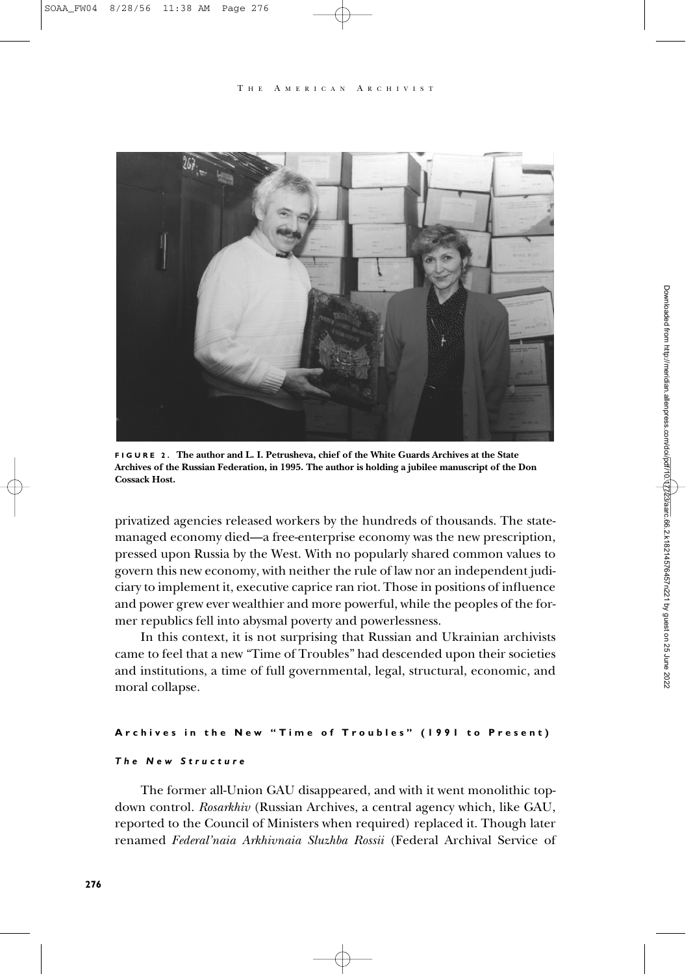#### T H E A MERICAN A RCHIVIST



**FIGURE 2. The author and L. I. Petrusheva, chief of the White Guards Archives at the State Archives of the Russian Federation, in 1995. The author is holding a jubilee manuscript of the Don Cossack Host.**

privatized agencies released workers by the hundreds of thousands. The statemanaged economy died—a free-enterprise economy was the new prescription, pressed upon Russia by the West. With no popularly shared common values to govern this new economy, with neither the rule of law nor an independent judiciary to implement it, executive caprice ran riot. Those in positions of influence and power grew ever wealthier and more powerful, while the peoples of the former republics fell into abysmal poverty and powerlessness.

In this context, it is not surprising that Russian and Ukrainian archivists came to feel that a new "Time of Troubles" had descended upon their societies and institutions, a time of full governmental, legal, structural, economic, and moral collapse.

# **Archives in the New "Time of Troubles" (1991 to Present)** *The New Structure*

The former all-Union GAU disappeared, and with it went monolithic topdown control. *Rosarkhiv* (Russian Archives, a central agency which, like GAU, reported to the Council of Ministers when required) replaced it. Though later renamed *Federal'naia Arkhivnaia Sluzhba Rossii* (Federal Archival Service of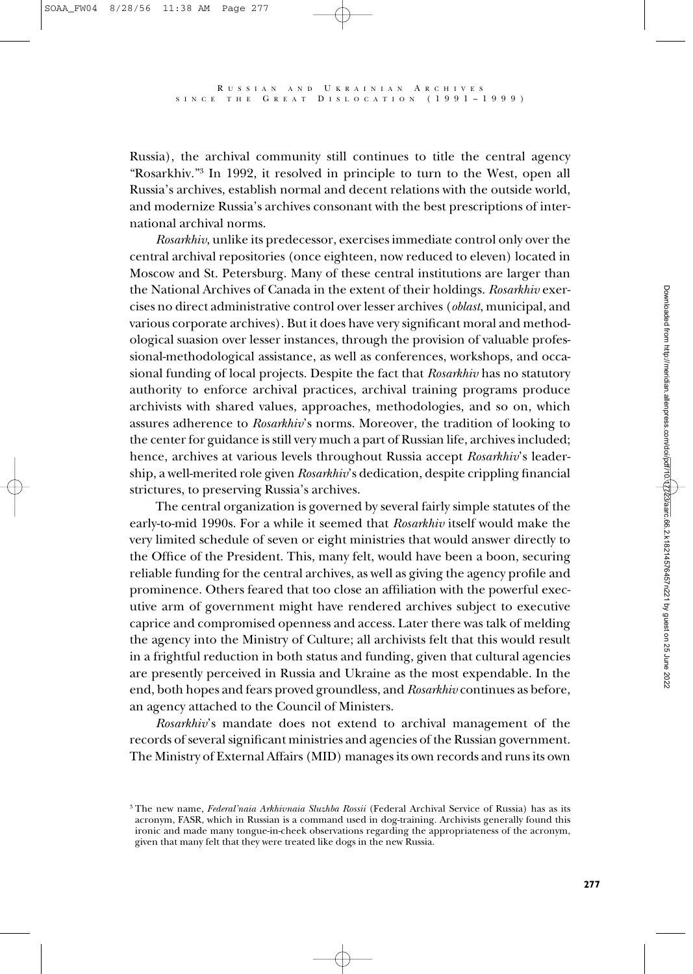Russia), the archival community still continues to title the central agency "Rosarkhiv."3 In 1992, it resolved in principle to turn to the West, open all Russia's archives, establish normal and decent relations with the outside world, and modernize Russia's archives consonant with the best prescriptions of international archival norms.

*Rosarkhiv*, unlike its predecessor, exercises immediate control only over the central archival repositories (once eighteen, now reduced to eleven) located in Moscow and St. Petersburg. Many of these central institutions are larger than the National Archives of Canada in the extent of their holdings. *Rosarkhiv* exercises no direct administrative control over lesser archives (*oblast*, municipal, and various corporate archives). But it does have very significant moral and methodological suasion over lesser instances, through the provision of valuable professional-methodological assistance, as well as conferences, workshops, and occasional funding of local projects. Despite the fact that *Rosarkhiv* has no statutory authority to enforce archival practices, archival training programs produce archivists with shared values, approaches, methodologies, and so on, which assures adherence to *Rosarkhiv*'s norms. Moreover, the tradition of looking to the center for guidance is still very much a part of Russian life, archives included; hence, archives at various levels throughout Russia accept *Rosarkhiv*'s leadership, a well-merited role given *Rosarkhiv*'s dedication, despite crippling financial strictures, to preserving Russia's archives.

The central organization is governed by several fairly simple statutes of the early-to-mid 1990s. For a while it seemed that *Rosarkhiv* itself would make the very limited schedule of seven or eight ministries that would answer directly to the Office of the President. This, many felt, would have been a boon, securing reliable funding for the central archives, as well as giving the agency profile and prominence. Others feared that too close an affiliation with the powerful executive arm of government might have rendered archives subject to executive caprice and compromised openness and access. Later there was talk of melding the agency into the Ministry of Culture; all archivists felt that this would result in a frightful reduction in both status and funding, given that cultural agencies are presently perceived in Russia and Ukraine as the most expendable. In the end, both hopes and fears proved groundless, and *Rosarkhiv* continues as before, an agency attached to the Council of Ministers.

*Rosarkhiv*'s mandate does not extend to archival management of the records of several significant ministries and agencies of the Russian government. The Ministry of External Affairs (MID) manages its own records and runs its own

<sup>3</sup> The new name, *Federal'naia Arkhivnaia Sluzhba Rossii* (Federal Archival Service of Russia) has as its acronym, FASR, which in Russian is a command used in dog-training. Archivists generally found this ironic and made many tongue-in-cheek observations regarding the appropriateness of the acronym, given that many felt that they were treated like dogs in the new Russia.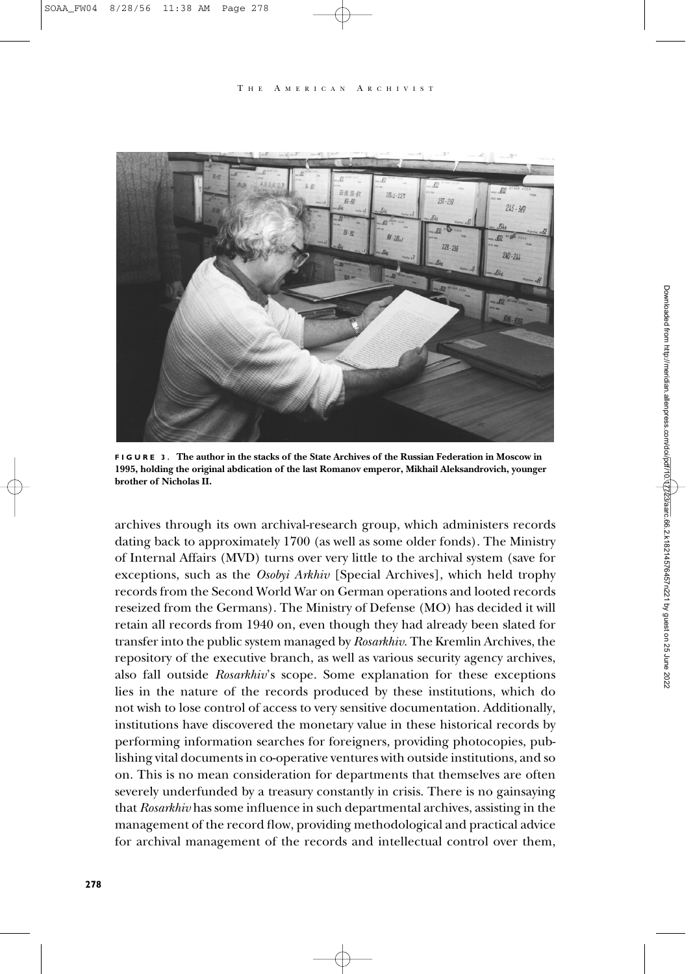#### A MERICAN ARCHIVIST



**FIGURE 3. The author in the stacks of the State Archives of the Russian Federation in Moscow in 1995, holding the original abdication of the last Romanov emperor, Mikhail Aleksandrovich, younger brother of Nicholas II.**

archives through its own archival-research group, which administers records dating back to approximately 1700 (as well as some older fonds). The Ministry of Internal Affairs (MVD) turns over very little to the archival system (save for exceptions, such as the *Osobyi Arkhiv* [Special Archives], which held trophy records from the Second World War on German operations and looted records reseized from the Germans). The Ministry of Defense (MO) has decided it will retain all records from 1940 on, even though they had already been slated for transfer into the public system managed by *Rosarkhiv*. The Kremlin Archives, the repository of the executive branch, as well as various security agency archives, also fall outside *Rosarkhiv*'s scope. Some explanation for these exceptions lies in the nature of the records produced by these institutions, which do not wish to lose control of access to very sensitive documentation. Additionally, institutions have discovered the monetary value in these historical records by performing information searches for foreigners, providing photocopies, publishing vital documents in co-operative ventures with outside institutions, and so on. This is no mean consideration for departments that themselves are often severely underfunded by a treasury constantly in crisis. There is no gainsaying that *Rosarkhiv* has some influence in such departmental archives, assisting in the management of the record flow, providing methodological and practical advice for archival management of the records and intellectual control over them,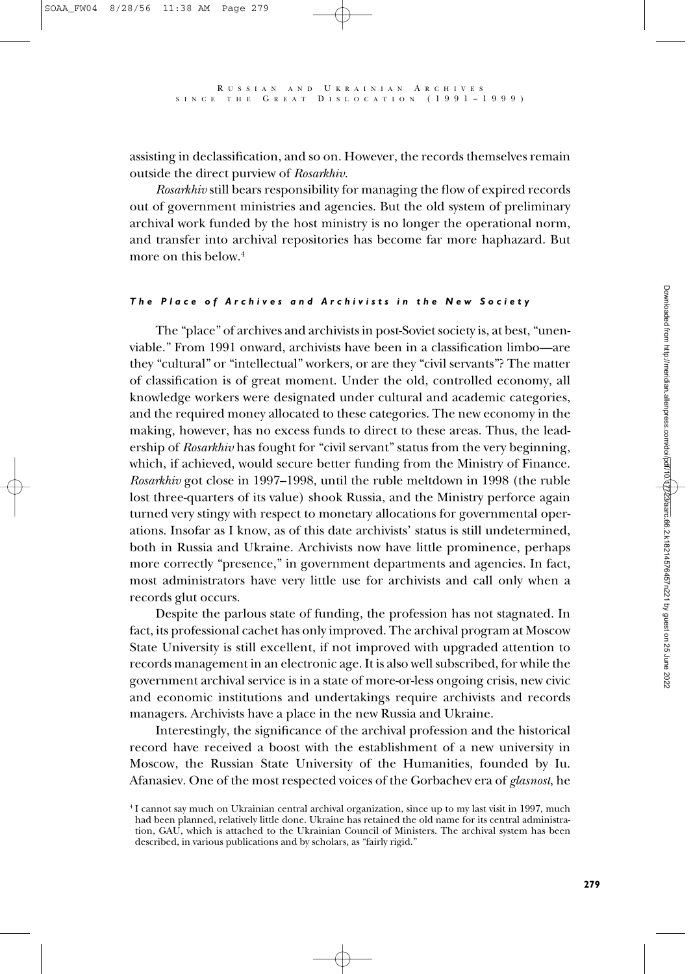assisting in declassification, and so on. However, the records themselves remain outside the direct purview of *Rosarkhiv*.

*Rosarkhiv* still bears responsibility for managing the flow of expired records out of government ministries and agencies. But the old system of preliminary archival work funded by the host ministry is no longer the operational norm, and transfer into archival repositories has become far more haphazard. But more on this below.<sup>4</sup>

## *The Place of Archives and Archivists in the New Society*

The "place" of archives and archivists in post-Soviet society is, at best, "unenviable." From 1991 onward, archivists have been in a classification limbo—are they "cultural" or "intellectual" workers, or are they "civil servants"? The matter of classification is of great moment. Under the old, controlled economy, all knowledge workers were designated under cultural and academic categories, and the required money allocated to these categories. The new economy in the making, however, has no excess funds to direct to these areas. Thus, the leadership of *Rosarkhiv* has fought for "civil servant" status from the very beginning, which, if achieved, would secure better funding from the Ministry of Finance. *Rosarkhiv* got close in 1997–1998, until the ruble meltdown in 1998 (the ruble lost three-quarters of its value) shook Russia, and the Ministry perforce again turned very stingy with respect to monetary allocations for governmental operations. Insofar as I know, as of this date archivists' status is still undetermined, both in Russia and Ukraine. Archivists now have little prominence, perhaps more correctly "presence," in government departments and agencies. In fact, most administrators have very little use for archivists and call only when a records glut occurs.

Despite the parlous state of funding, the profession has not stagnated. In fact, its professional cachet has only improved. The archival program at Moscow State University is still excellent, if not improved with upgraded attention to records management in an electronic age. It is also well subscribed, for while the government archival service is in a state of more-or-less ongoing crisis, new civic and economic institutions and undertakings require archivists and records managers. Archivists have a place in the new Russia and Ukraine.

Interestingly, the significance of the archival profession and the historical record have received a boost with the establishment of a new university in Moscow, the Russian State University of the Humanities, founded by Iu. Afanasiev. One of the most respected voices of the Gorbachev era of *glasnost*, he

<sup>4</sup> I cannot say much on Ukrainian central archival organization, since up to my last visit in 1997, much had been planned, relatively little done. Ukraine has retained the old name for its central administration, GAU, which is attached to the Ukrainian Council of Ministers. The archival system has been described, in various publications and by scholars, as "fairly rigid."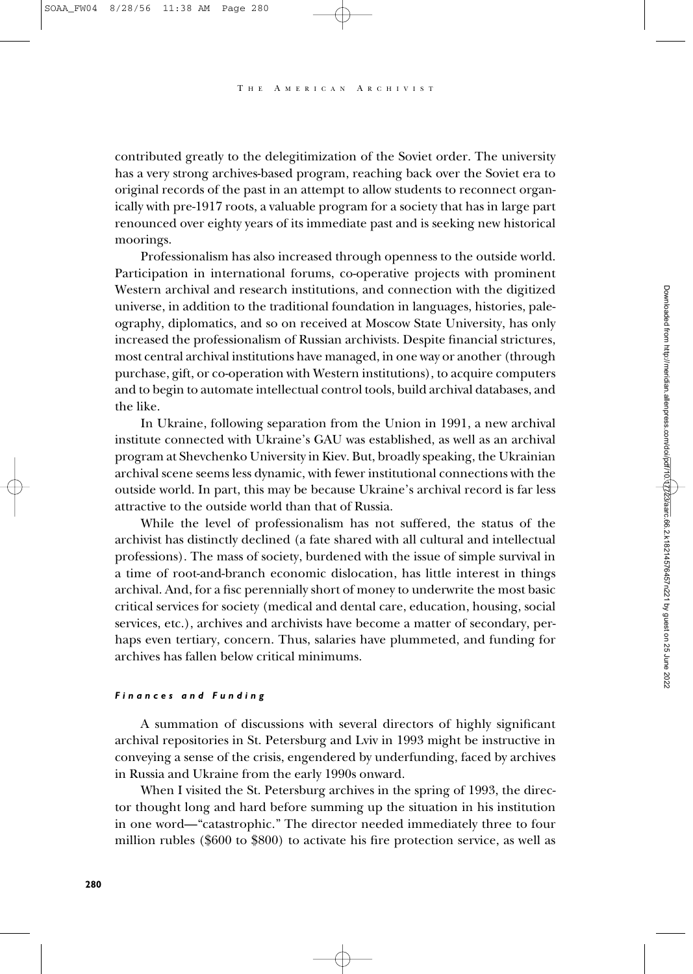A MERICAN ARCHIVIST

contributed greatly to the delegitimization of the Soviet order. The university has a very strong archives-based program, reaching back over the Soviet era to original records of the past in an attempt to allow students to reconnect organically with pre-1917 roots, a valuable program for a society that has in large part renounced over eighty years of its immediate past and is seeking new historical moorings.

Professionalism has also increased through openness to the outside world. Participation in international forums, co-operative projects with prominent Western archival and research institutions, and connection with the digitized universe, in addition to the traditional foundation in languages, histories, paleography, diplomatics, and so on received at Moscow State University, has only increased the professionalism of Russian archivists. Despite financial strictures, most central archival institutions have managed, in one way or another (through purchase, gift, or co-operation with Western institutions), to acquire computers and to begin to automate intellectual control tools, build archival databases, and the like.

In Ukraine, following separation from the Union in 1991, a new archival institute connected with Ukraine's GAU was established, as well as an archival program at Shevchenko University in Kiev. But, broadly speaking, the Ukrainian archival scene seems less dynamic, with fewer institutional connections with the outside world. In part, this may be because Ukraine's archival record is far less attractive to the outside world than that of Russia.

While the level of professionalism has not suffered, the status of the archivist has distinctly declined (a fate shared with all cultural and intellectual professions). The mass of society, burdened with the issue of simple survival in a time of root-and-branch economic dislocation, has little interest in things archival. And, for a fisc perennially short of money to underwrite the most basic critical services for society (medical and dental care, education, housing, social services, etc.), archives and archivists have become a matter of secondary, perhaps even tertiary, concern. Thus, salaries have plummeted, and funding for archives has fallen below critical minimums.

#### *Finances and Funding*

A summation of discussions with several directors of highly significant archival repositories in St. Petersburg and Lviv in 1993 might be instructive in conveying a sense of the crisis, engendered by underfunding, faced by archives in Russia and Ukraine from the early 1990s onward.

When I visited the St. Petersburg archives in the spring of 1993, the director thought long and hard before summing up the situation in his institution in one word—"catastrophic." The director needed immediately three to four million rubles (\$600 to \$800) to activate his fire protection service, as well as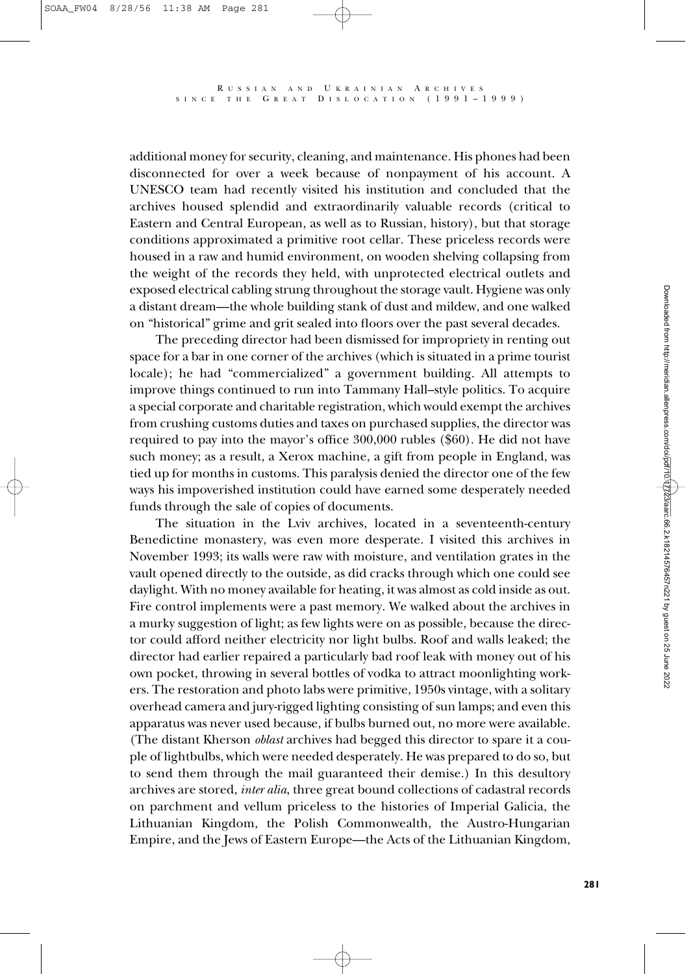additional money for security, cleaning, and maintenance. His phones had been disconnected for over a week because of nonpayment of his account. A UNESCO team had recently visited his institution and concluded that the archives housed splendid and extraordinarily valuable records (critical to Eastern and Central European, as well as to Russian, history), but that storage conditions approximated a primitive root cellar. These priceless records were housed in a raw and humid environment, on wooden shelving collapsing from the weight of the records they held, with unprotected electrical outlets and exposed electrical cabling strung throughout the storage vault. Hygiene was only a distant dream—the whole building stank of dust and mildew, and one walked on "historical" grime and grit sealed into floors over the past several decades.

The preceding director had been dismissed for impropriety in renting out space for a bar in one corner of the archives (which is situated in a prime tourist locale); he had "commercialized" a government building. All attempts to improve things continued to run into Tammany Hall–style politics. To acquire a special corporate and charitable registration, which would exempt the archives from crushing customs duties and taxes on purchased supplies, the director was required to pay into the mayor's office 300,000 rubles (\$60). He did not have such money; as a result, a Xerox machine, a gift from people in England, was tied up for months in customs. This paralysis denied the director one of the few ways his impoverished institution could have earned some desperately needed funds through the sale of copies of documents.

The situation in the Lviv archives, located in a seventeenth-century Benedictine monastery, was even more desperate. I visited this archives in November 1993; its walls were raw with moisture, and ventilation grates in the vault opened directly to the outside, as did cracks through which one could see daylight. With no money available for heating, it was almost as cold inside as out. Fire control implements were a past memory. We walked about the archives in a murky suggestion of light; as few lights were on as possible, because the director could afford neither electricity nor light bulbs. Roof and walls leaked; the director had earlier repaired a particularly bad roof leak with money out of his own pocket, throwing in several bottles of vodka to attract moonlighting workers. The restoration and photo labs were primitive, 1950s vintage, with a solitary overhead camera and jury-rigged lighting consisting of sun lamps; and even this apparatus was never used because, if bulbs burned out, no more were available. (The distant Kherson *oblast* archives had begged this director to spare it a couple of lightbulbs, which were needed desperately. He was prepared to do so, but to send them through the mail guaranteed their demise.) In this desultory archives are stored, *inter alia*, three great bound collections of cadastral records on parchment and vellum priceless to the histories of Imperial Galicia, the Lithuanian Kingdom, the Polish Commonwealth, the Austro-Hungarian Empire, and the Jews of Eastern Europe—the Acts of the Lithuanian Kingdom,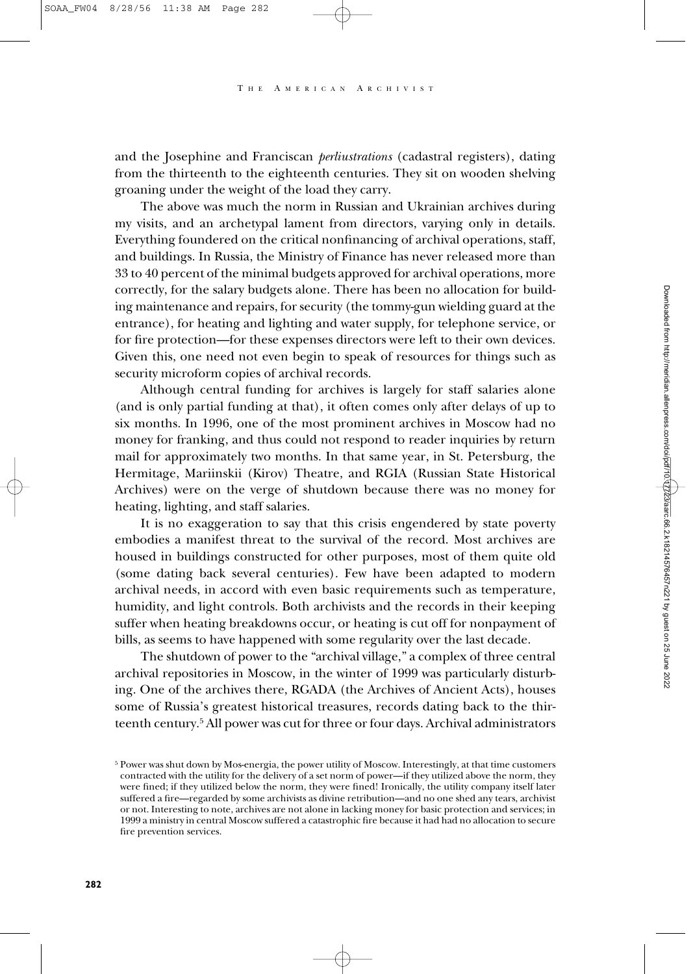and the Josephine and Franciscan *perliustrations* (cadastral registers), dating from the thirteenth to the eighteenth centuries. They sit on wooden shelving groaning under the weight of the load they carry.

The above was much the norm in Russian and Ukrainian archives during my visits, and an archetypal lament from directors, varying only in details. Everything foundered on the critical nonfinancing of archival operations, staff, and buildings. In Russia, the Ministry of Finance has never released more than 33 to 40 percent of the minimal budgets approved for archival operations, more correctly, for the salary budgets alone. There has been no allocation for building maintenance and repairs, for security (the tommy-gun wielding guard at the entrance), for heating and lighting and water supply, for telephone service, or for fire protection—for these expenses directors were left to their own devices. Given this, one need not even begin to speak of resources for things such as security microform copies of archival records.

Although central funding for archives is largely for staff salaries alone (and is only partial funding at that), it often comes only after delays of up to six months. In 1996, one of the most prominent archives in Moscow had no money for franking, and thus could not respond to reader inquiries by return mail for approximately two months. In that same year, in St. Petersburg, the Hermitage, Mariinskii (Kirov) Theatre, and RGIA (Russian State Historical Archives) were on the verge of shutdown because there was no money for heating, lighting, and staff salaries.

It is no exaggeration to say that this crisis engendered by state poverty embodies a manifest threat to the survival of the record. Most archives are housed in buildings constructed for other purposes, most of them quite old (some dating back several centuries). Few have been adapted to modern archival needs, in accord with even basic requirements such as temperature, humidity, and light controls. Both archivists and the records in their keeping suffer when heating breakdowns occur, or heating is cut off for nonpayment of bills, as seems to have happened with some regularity over the last decade.

The shutdown of power to the "archival village," a complex of three central archival repositories in Moscow, in the winter of 1999 was particularly disturbing. One of the archives there, RGADA (the Archives of Ancient Acts), houses some of Russia's greatest historical treasures, records dating back to the thirteenth century.5 All power was cut for three or four days. Archival administrators

<sup>5</sup> Power was shut down by Mos-energia, the power utility of Moscow. Interestingly, at that time customers contracted with the utility for the delivery of a set norm of power—if they utilized above the norm, they were fined; if they utilized below the norm, they were fined! Ironically, the utility company itself later suffered a fire—regarded by some archivists as divine retribution—and no one shed any tears, archivist or not. Interesting to note, archives are not alone in lacking money for basic protection and services; in 1999 a ministry in central Moscow suffered a catastrophic fire because it had had no allocation to secure fire prevention services.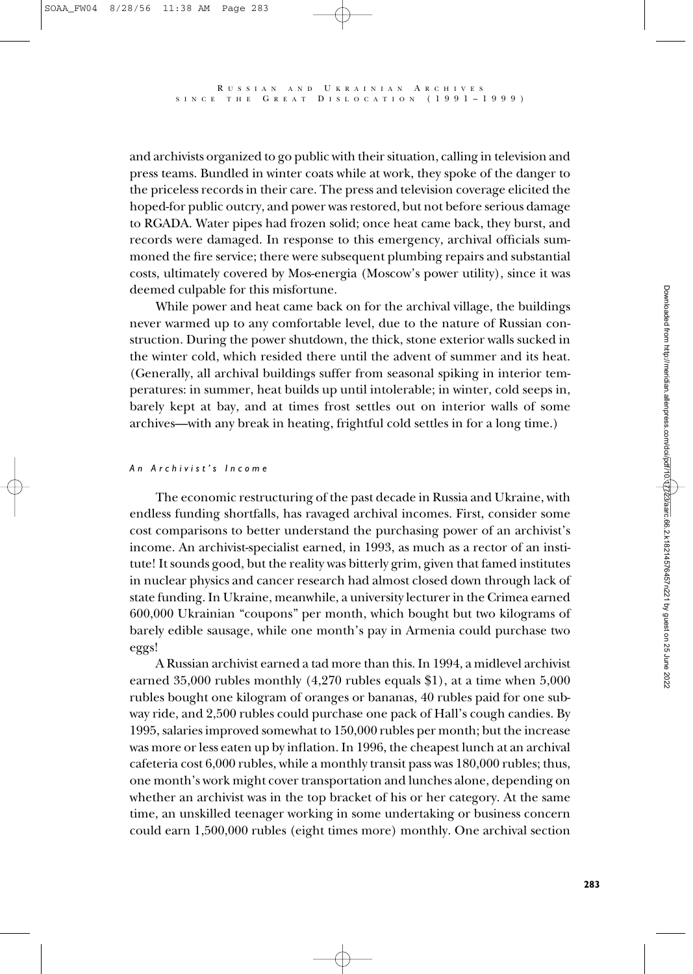and archivists organized to go public with their situation, calling in television and press teams. Bundled in winter coats while at work, they spoke of the danger to the priceless records in their care. The press and television coverage elicited the hoped-for public outcry, and power was restored, but not before serious damage to RGADA. Water pipes had frozen solid; once heat came back, they burst, and records were damaged. In response to this emergency, archival officials summoned the fire service; there were subsequent plumbing repairs and substantial costs, ultimately covered by Mos-energia (Moscow's power utility), since it was deemed culpable for this misfortune.

While power and heat came back on for the archival village, the buildings never warmed up to any comfortable level, due to the nature of Russian construction. During the power shutdown, the thick, stone exterior walls sucked in the winter cold, which resided there until the advent of summer and its heat. (Generally, all archival buildings suffer from seasonal spiking in interior temperatures: in summer, heat builds up until intolerable; in winter, cold seeps in, barely kept at bay, and at times frost settles out on interior walls of some archives—with any break in heating, frightful cold settles in for a long time.)

#### *An Archivist's Income*

The economic restructuring of the past decade in Russia and Ukraine, with endless funding shortfalls, has ravaged archival incomes. First, consider some cost comparisons to better understand the purchasing power of an archivist's income. An archivist-specialist earned, in 1993, as much as a rector of an institute! It sounds good, but the reality was bitterly grim, given that famed institutes in nuclear physics and cancer research had almost closed down through lack of state funding. In Ukraine, meanwhile, a university lecturer in the Crimea earned 600,000 Ukrainian "coupons" per month, which bought but two kilograms of barely edible sausage, while one month's pay in Armenia could purchase two eggs!

A Russian archivist earned a tad more than this. In 1994, a midlevel archivist earned 35,000 rubles monthly (4,270 rubles equals \$1), at a time when 5,000 rubles bought one kilogram of oranges or bananas, 40 rubles paid for one subway ride, and 2,500 rubles could purchase one pack of Hall's cough candies. By 1995, salaries improved somewhat to 150,000 rubles per month; but the increase was more or less eaten up by inflation. In 1996, the cheapest lunch at an archival cafeteria cost 6,000 rubles, while a monthly transit pass was 180,000 rubles; thus, one month's work might cover transportation and lunches alone, depending on whether an archivist was in the top bracket of his or her category. At the same time, an unskilled teenager working in some undertaking or business concern could earn 1,500,000 rubles (eight times more) monthly. One archival section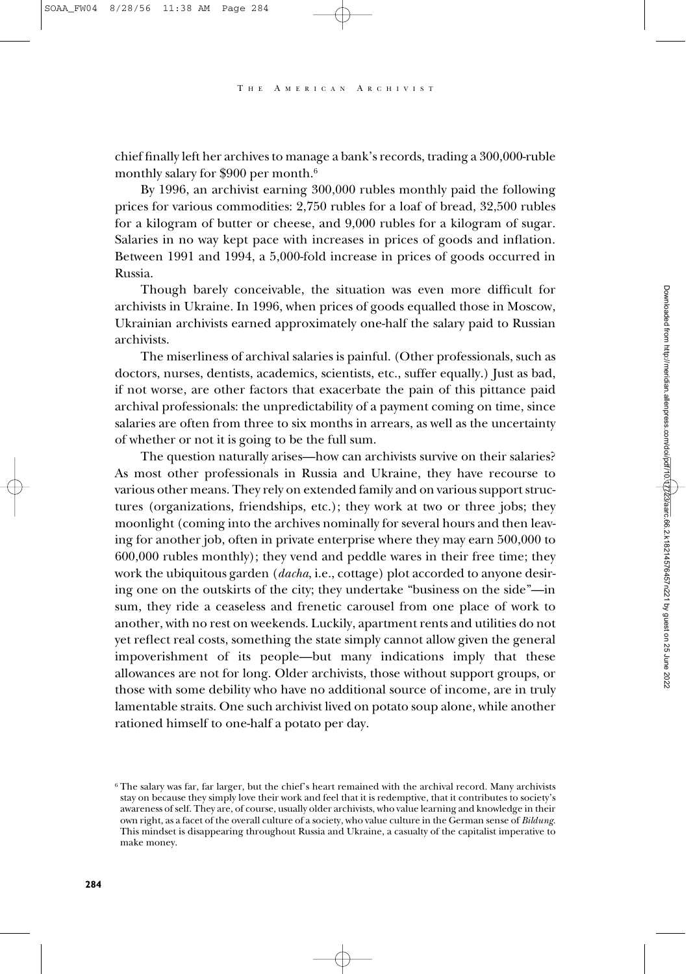chief finally left her archives to manage a bank's records, trading a 300,000-ruble monthly salary for \$900 per month.6

By 1996, an archivist earning 300,000 rubles monthly paid the following prices for various commodities: 2,750 rubles for a loaf of bread, 32,500 rubles for a kilogram of butter or cheese, and 9,000 rubles for a kilogram of sugar. Salaries in no way kept pace with increases in prices of goods and inflation. Between 1991 and 1994, a 5,000-fold increase in prices of goods occurred in Russia.

Though barely conceivable, the situation was even more difficult for archivists in Ukraine. In 1996, when prices of goods equalled those in Moscow, Ukrainian archivists earned approximately one-half the salary paid to Russian archivists.

The miserliness of archival salaries is painful. (Other professionals, such as doctors, nurses, dentists, academics, scientists, etc., suffer equally.) Just as bad, if not worse, are other factors that exacerbate the pain of this pittance paid archival professionals: the unpredictability of a payment coming on time, since salaries are often from three to six months in arrears, as well as the uncertainty of whether or not it is going to be the full sum.

The question naturally arises—how can archivists survive on their salaries? As most other professionals in Russia and Ukraine, they have recourse to various other means. They rely on extended family and on various support structures (organizations, friendships, etc.); they work at two or three jobs; they moonlight (coming into the archives nominally for several hours and then leaving for another job, often in private enterprise where they may earn 500,000 to 600,000 rubles monthly); they vend and peddle wares in their free time; they work the ubiquitous garden (*dacha*, i.e., cottage) plot accorded to anyone desiring one on the outskirts of the city; they undertake "business on the side"—in sum, they ride a ceaseless and frenetic carousel from one place of work to another, with no rest on weekends. Luckily, apartment rents and utilities do not yet reflect real costs, something the state simply cannot allow given the general impoverishment of its people—but many indications imply that these allowances are not for long. Older archivists, those without support groups, or those with some debility who have no additional source of income, are in truly lamentable straits. One such archivist lived on potato soup alone, while another rationed himself to one-half a potato per day.

<sup>&</sup>lt;sup>6</sup> The salary was far, far larger, but the chief's heart remained with the archival record. Many archivists stay on because they simply love their work and feel that it is redemptive, that it contributes to society's awareness of self. They are, of course, usually older archivists, who value learning and knowledge in their own right, as a facet of the overall culture of a society, who value culture in the German sense of *Bildung*. This mindset is disappearing throughout Russia and Ukraine, a casualty of the capitalist imperative to make money.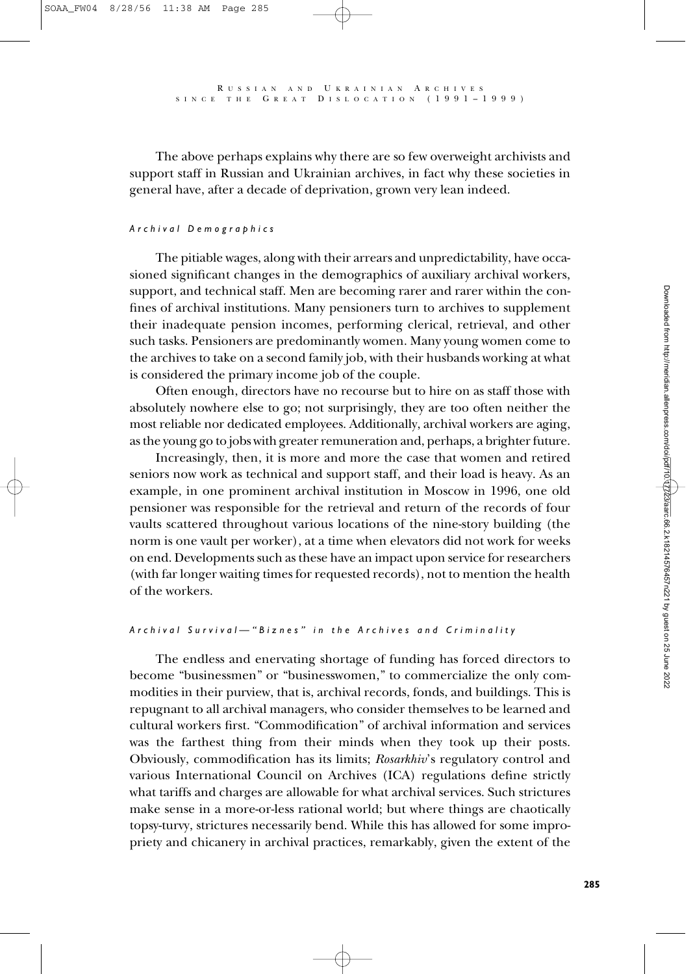The above perhaps explains why there are so few overweight archivists and support staff in Russian and Ukrainian archives, in fact why these societies in general have, after a decade of deprivation, grown very lean indeed.

### *Archival Demographics*

The pitiable wages, along with their arrears and unpredictability, have occasioned significant changes in the demographics of auxiliary archival workers, support, and technical staff. Men are becoming rarer and rarer within the confines of archival institutions. Many pensioners turn to archives to supplement their inadequate pension incomes, performing clerical, retrieval, and other such tasks. Pensioners are predominantly women. Many young women come to the archives to take on a second family job, with their husbands working at what is considered the primary income job of the couple.

Often enough, directors have no recourse but to hire on as staff those with absolutely nowhere else to go; not surprisingly, they are too often neither the most reliable nor dedicated employees. Additionally, archival workers are aging, as the young go to jobs with greater remuneration and, perhaps, a brighter future.

Increasingly, then, it is more and more the case that women and retired seniors now work as technical and support staff, and their load is heavy. As an example, in one prominent archival institution in Moscow in 1996, one old pensioner was responsible for the retrieval and return of the records of four vaults scattered throughout various locations of the nine-story building (the norm is one vault per worker), at a time when elevators did not work for weeks on end. Developments such as these have an impact upon service for researchers (with far longer waiting times for requested records), not to mention the health of the workers.

#### *Archival Survival—"Biznes" in the Archives and Criminality*

The endless and enervating shortage of funding has forced directors to become "businessmen" or "businesswomen," to commercialize the only commodities in their purview, that is, archival records, fonds, and buildings. This is repugnant to all archival managers, who consider themselves to be learned and cultural workers first. "Commodification" of archival information and services was the farthest thing from their minds when they took up their posts. Obviously, commodification has its limits; *Rosarkhiv*'s regulatory control and various International Council on Archives (ICA) regulations define strictly what tariffs and charges are allowable for what archival services. Such strictures make sense in a more-or-less rational world; but where things are chaotically topsy-turvy, strictures necessarily bend. While this has allowed for some impropriety and chicanery in archival practices, remarkably, given the extent of the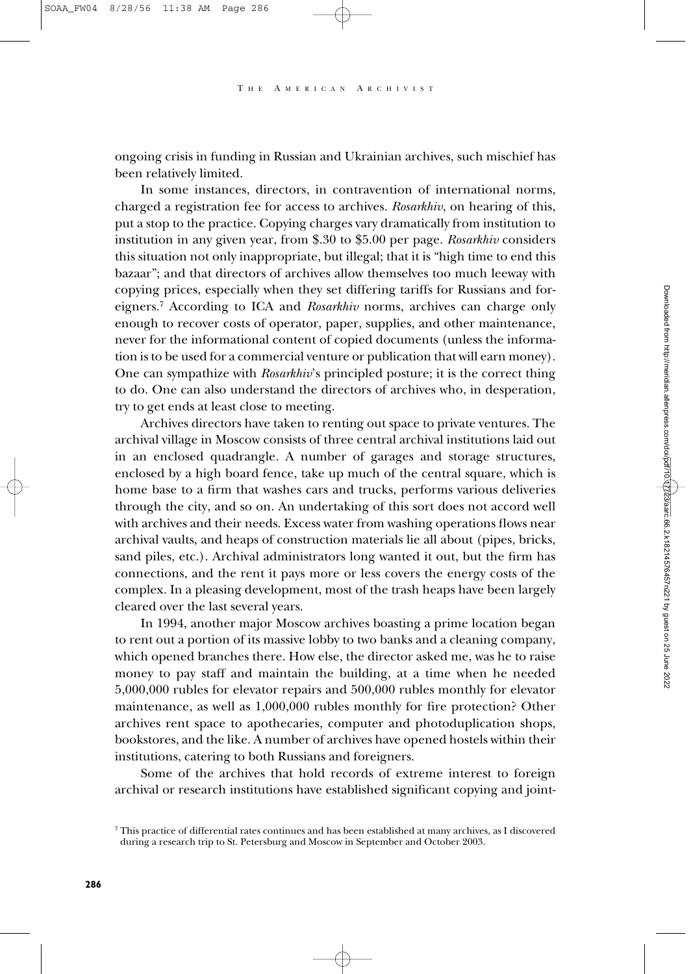A MERICAN ARCHIVIST

ongoing crisis in funding in Russian and Ukrainian archives, such mischief has been relatively limited.

In some instances, directors, in contravention of international norms, charged a registration fee for access to archives. *Rosarkhiv*, on hearing of this, put a stop to the practice. Copying charges vary dramatically from institution to institution in any given year, from \$.30 to \$5.00 per page. *Rosarkhiv* considers this situation not only inappropriate, but illegal; that it is "high time to end this bazaar"; and that directors of archives allow themselves too much leeway with copying prices, especially when they set differing tariffs for Russians and foreigners.7 According to ICA and *Rosarkhiv* norms, archives can charge only enough to recover costs of operator, paper, supplies, and other maintenance, never for the informational content of copied documents (unless the information is to be used for a commercial venture or publication that will earn money). One can sympathize with *Rosarkhiv*'s principled posture; it is the correct thing to do. One can also understand the directors of archives who, in desperation, try to get ends at least close to meeting.

Archives directors have taken to renting out space to private ventures. The archival village in Moscow consists of three central archival institutions laid out in an enclosed quadrangle. A number of garages and storage structures, enclosed by a high board fence, take up much of the central square, which is home base to a firm that washes cars and trucks, performs various deliveries through the city, and so on. An undertaking of this sort does not accord well with archives and their needs. Excess water from washing operations flows near archival vaults, and heaps of construction materials lie all about (pipes, bricks, sand piles, etc.). Archival administrators long wanted it out, but the firm has connections, and the rent it pays more or less covers the energy costs of the complex. In a pleasing development, most of the trash heaps have been largely cleared over the last several years.

In 1994, another major Moscow archives boasting a prime location began to rent out a portion of its massive lobby to two banks and a cleaning company, which opened branches there. How else, the director asked me, was he to raise money to pay staff and maintain the building, at a time when he needed 5,000,000 rubles for elevator repairs and 500,000 rubles monthly for elevator maintenance, as well as 1,000,000 rubles monthly for fire protection? Other archives rent space to apothecaries, computer and photoduplication shops, bookstores, and the like. A number of archives have opened hostels within their institutions, catering to both Russians and foreigners.

Some of the archives that hold records of extreme interest to foreign archival or research institutions have established significant copying and joint-

<sup>7</sup> This practice of differential rates continues and has been established at many archives, as I discovered during a research trip to St. Petersburg and Moscow in September and October 2003.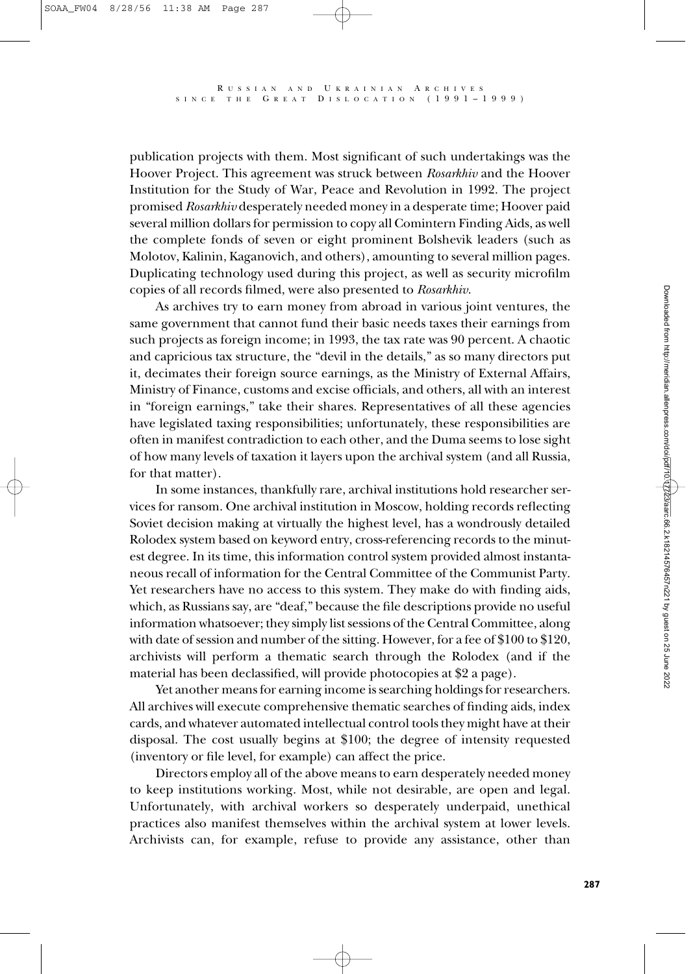publication projects with them. Most significant of such undertakings was the Hoover Project. This agreement was struck between *Rosarkhiv* and the Hoover Institution for the Study of War, Peace and Revolution in 1992. The project promised *Rosarkhiv* desperately needed money in a desperate time; Hoover paid several million dollars for permission to copy all Comintern Finding Aids, as well the complete fonds of seven or eight prominent Bolshevik leaders (such as Molotov, Kalinin, Kaganovich, and others), amounting to several million pages. Duplicating technology used during this project, as well as security microfilm copies of all records filmed, were also presented to *Rosarkhiv*.

As archives try to earn money from abroad in various joint ventures, the same government that cannot fund their basic needs taxes their earnings from such projects as foreign income; in 1993, the tax rate was 90 percent. A chaotic and capricious tax structure, the "devil in the details," as so many directors put it, decimates their foreign source earnings, as the Ministry of External Affairs, Ministry of Finance, customs and excise officials, and others, all with an interest in "foreign earnings," take their shares. Representatives of all these agencies have legislated taxing responsibilities; unfortunately, these responsibilities are often in manifest contradiction to each other, and the Duma seems to lose sight of how many levels of taxation it layers upon the archival system (and all Russia, for that matter).

In some instances, thankfully rare, archival institutions hold researcher services for ransom. One archival institution in Moscow, holding records reflecting Soviet decision making at virtually the highest level, has a wondrously detailed Rolodex system based on keyword entry, cross-referencing records to the minutest degree. In its time, this information control system provided almost instantaneous recall of information for the Central Committee of the Communist Party. Yet researchers have no access to this system. They make do with finding aids, which, as Russians say, are "deaf," because the file descriptions provide no useful information whatsoever; they simply list sessions of the Central Committee, along with date of session and number of the sitting. However, for a fee of \$100 to \$120, archivists will perform a thematic search through the Rolodex (and if the material has been declassified, will provide photocopies at \$2 a page).

Yet another means for earning income is searching holdings for researchers. All archives will execute comprehensive thematic searches of finding aids, index cards, and whatever automated intellectual control tools they might have at their disposal. The cost usually begins at \$100; the degree of intensity requested (inventory or file level, for example) can affect the price.

Directors employ all of the above means to earn desperately needed money to keep institutions working. Most, while not desirable, are open and legal. Unfortunately, with archival workers so desperately underpaid, unethical practices also manifest themselves within the archival system at lower levels. Archivists can, for example, refuse to provide any assistance, other than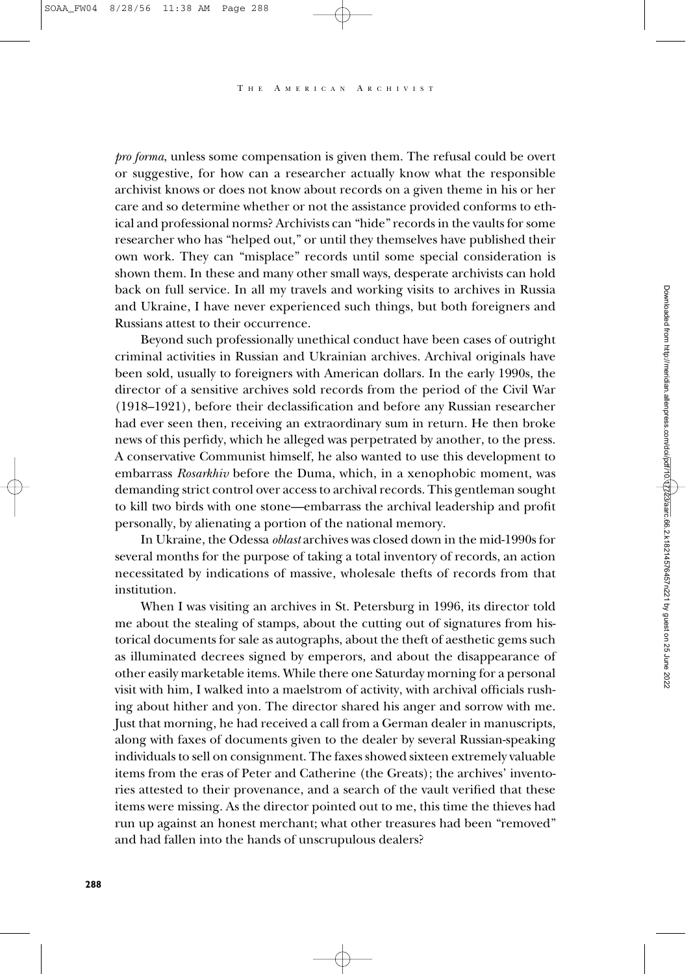*pro forma*, unless some compensation is given them. The refusal could be overt or suggestive, for how can a researcher actually know what the responsible archivist knows or does not know about records on a given theme in his or her care and so determine whether or not the assistance provided conforms to ethical and professional norms? Archivists can "hide" records in the vaults for some researcher who has "helped out," or until they themselves have published their own work. They can "misplace" records until some special consideration is shown them. In these and many other small ways, desperate archivists can hold back on full service. In all my travels and working visits to archives in Russia and Ukraine, I have never experienced such things, but both foreigners and Russians attest to their occurrence.

Beyond such professionally unethical conduct have been cases of outright criminal activities in Russian and Ukrainian archives. Archival originals have been sold, usually to foreigners with American dollars. In the early 1990s, the director of a sensitive archives sold records from the period of the Civil War (1918–1921), before their declassification and before any Russian researcher had ever seen then, receiving an extraordinary sum in return. He then broke news of this perfidy, which he alleged was perpetrated by another, to the press. A conservative Communist himself, he also wanted to use this development to embarrass *Rosarkhiv* before the Duma, which, in a xenophobic moment, was demanding strict control over access to archival records. This gentleman sought to kill two birds with one stone—embarrass the archival leadership and profit personally, by alienating a portion of the national memory.

In Ukraine, the Odessa *oblast* archives was closed down in the mid-1990s for several months for the purpose of taking a total inventory of records, an action necessitated by indications of massive, wholesale thefts of records from that institution.

When I was visiting an archives in St. Petersburg in 1996, its director told me about the stealing of stamps, about the cutting out of signatures from historical documents for sale as autographs, about the theft of aesthetic gems such as illuminated decrees signed by emperors, and about the disappearance of other easily marketable items. While there one Saturday morning for a personal visit with him, I walked into a maelstrom of activity, with archival officials rushing about hither and yon. The director shared his anger and sorrow with me. Just that morning, he had received a call from a German dealer in manuscripts, along with faxes of documents given to the dealer by several Russian-speaking individuals to sell on consignment. The faxes showed sixteen extremely valuable items from the eras of Peter and Catherine (the Greats); the archives' inventories attested to their provenance, and a search of the vault verified that these items were missing. As the director pointed out to me, this time the thieves had run up against an honest merchant; what other treasures had been "removed" and had fallen into the hands of unscrupulous dealers?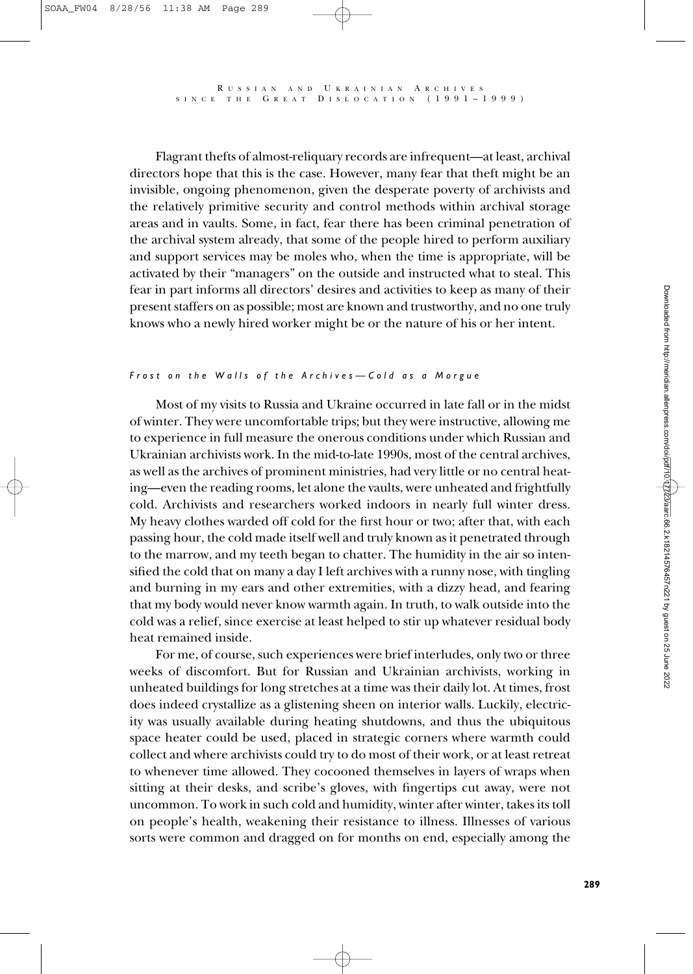Flagrant thefts of almost-reliquary records are infrequent—at least, archival directors hope that this is the case. However, many fear that theft might be an invisible, ongoing phenomenon, given the desperate poverty of archivists and the relatively primitive security and control methods within archival storage areas and in vaults. Some, in fact, fear there has been criminal penetration of the archival system already, that some of the people hired to perform auxiliary and support services may be moles who, when the time is appropriate, will be activated by their "managers" on the outside and instructed what to steal. This fear in part informs all directors' desires and activities to keep as many of their present staffers on as possible; most are known and trustworthy, and no one truly knows who a newly hired worker might be or the nature of his or her intent.

#### *Frost on the Walls of the Archives—Cold as a Morgue*

Most of my visits to Russia and Ukraine occurred in late fall or in the midst of winter. They were uncomfortable trips; but they were instructive, allowing me to experience in full measure the onerous conditions under which Russian and Ukrainian archivists work. In the mid-to-late 1990s, most of the central archives, as well as the archives of prominent ministries, had very little or no central heating—even the reading rooms, let alone the vaults, were unheated and frightfully cold. Archivists and researchers worked indoors in nearly full winter dress. My heavy clothes warded off cold for the first hour or two; after that, with each passing hour, the cold made itself well and truly known as it penetrated through to the marrow, and my teeth began to chatter. The humidity in the air so intensified the cold that on many a day I left archives with a runny nose, with tingling and burning in my ears and other extremities, with a dizzy head, and fearing that my body would never know warmth again. In truth, to walk outside into the cold was a relief, since exercise at least helped to stir up whatever residual body heat remained inside.

For me, of course, such experiences were brief interludes, only two or three weeks of discomfort. But for Russian and Ukrainian archivists, working in unheated buildings for long stretches at a time was their daily lot. At times, frost does indeed crystallize as a glistening sheen on interior walls. Luckily, electricity was usually available during heating shutdowns, and thus the ubiquitous space heater could be used, placed in strategic corners where warmth could collect and where archivists could try to do most of their work, or at least retreat to whenever time allowed. They cocooned themselves in layers of wraps when sitting at their desks, and scribe's gloves, with fingertips cut away, were not uncommon. To work in such cold and humidity, winter after winter, takes its toll on people's health, weakening their resistance to illness. Illnesses of various sorts were common and dragged on for months on end, especially among the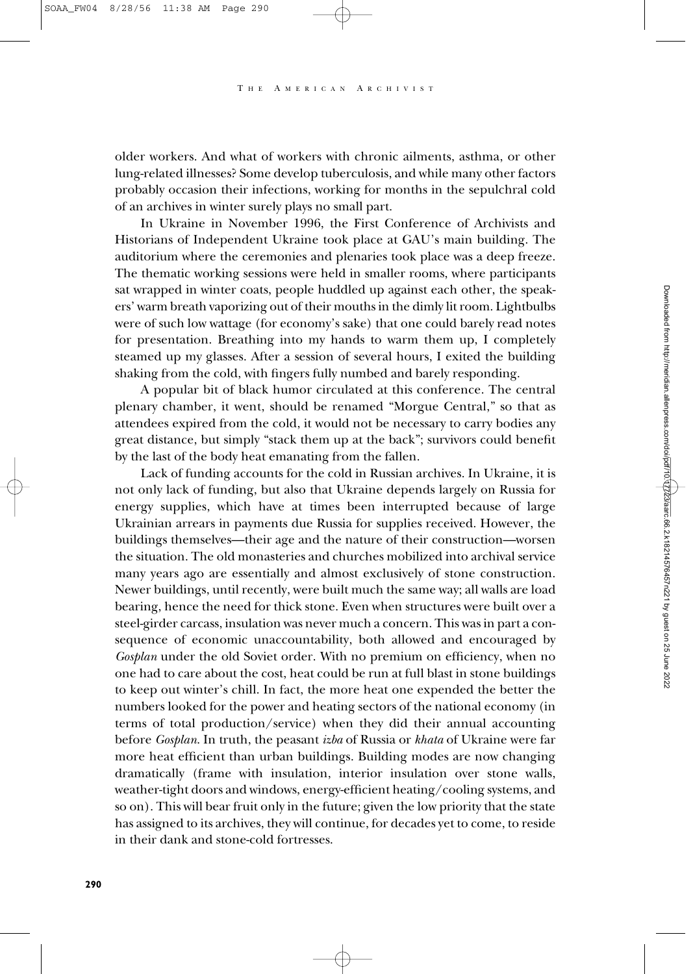older workers. And what of workers with chronic ailments, asthma, or other lung-related illnesses? Some develop tuberculosis, and while many other factors probably occasion their infections, working for months in the sepulchral cold of an archives in winter surely plays no small part.

In Ukraine in November 1996, the First Conference of Archivists and Historians of Independent Ukraine took place at GAU's main building. The auditorium where the ceremonies and plenaries took place was a deep freeze. The thematic working sessions were held in smaller rooms, where participants sat wrapped in winter coats, people huddled up against each other, the speakers' warm breath vaporizing out of their mouths in the dimly lit room. Lightbulbs were of such low wattage (for economy's sake) that one could barely read notes for presentation. Breathing into my hands to warm them up, I completely steamed up my glasses. After a session of several hours, I exited the building shaking from the cold, with fingers fully numbed and barely responding.

A popular bit of black humor circulated at this conference. The central plenary chamber, it went, should be renamed "Morgue Central," so that as attendees expired from the cold, it would not be necessary to carry bodies any great distance, but simply "stack them up at the back"; survivors could benefit by the last of the body heat emanating from the fallen.

Lack of funding accounts for the cold in Russian archives. In Ukraine, it is not only lack of funding, but also that Ukraine depends largely on Russia for energy supplies, which have at times been interrupted because of large Ukrainian arrears in payments due Russia for supplies received. However, the buildings themselves—their age and the nature of their construction—worsen the situation. The old monasteries and churches mobilized into archival service many years ago are essentially and almost exclusively of stone construction. Newer buildings, until recently, were built much the same way; all walls are load bearing, hence the need for thick stone. Even when structures were built over a steel-girder carcass, insulation was never much a concern. This was in part a consequence of economic unaccountability, both allowed and encouraged by *Gosplan* under the old Soviet order. With no premium on efficiency, when no one had to care about the cost, heat could be run at full blast in stone buildings to keep out winter's chill. In fact, the more heat one expended the better the numbers looked for the power and heating sectors of the national economy (in terms of total production/service) when they did their annual accounting before *Gosplan*. In truth, the peasant *izba* of Russia or *khata* of Ukraine were far more heat efficient than urban buildings. Building modes are now changing dramatically (frame with insulation, interior insulation over stone walls, weather-tight doors and windows, energy-efficient heating/cooling systems, and so on). This will bear fruit only in the future; given the low priority that the state has assigned to its archives, they will continue, for decades yet to come, to reside in their dank and stone-cold fortresses.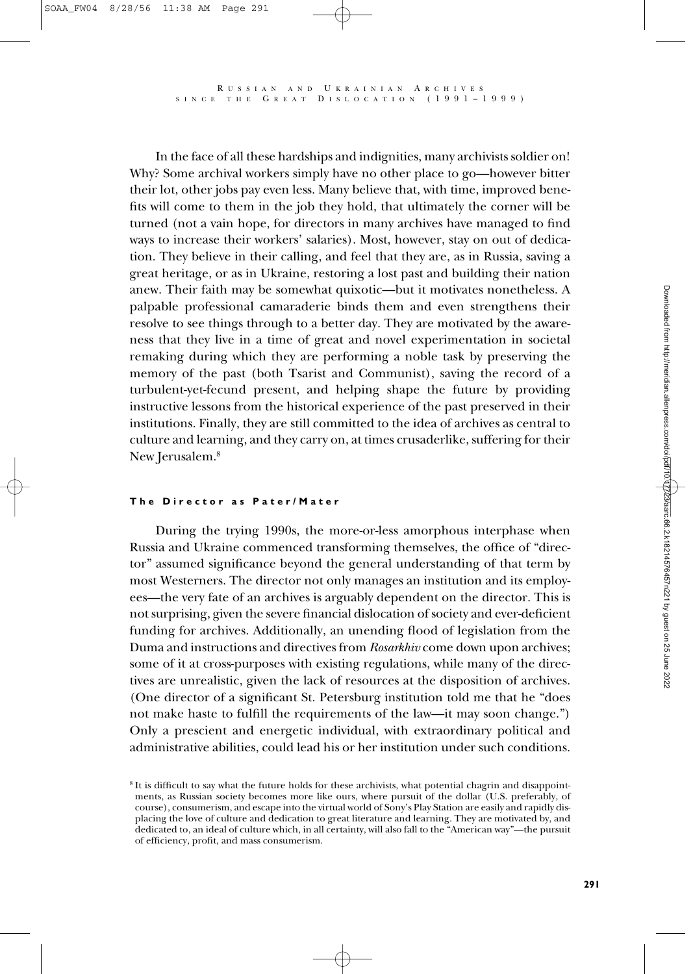In the face of all these hardships and indignities, many archivists soldier on! Why? Some archival workers simply have no other place to go—however bitter their lot, other jobs pay even less. Many believe that, with time, improved benefits will come to them in the job they hold, that ultimately the corner will be turned (not a vain hope, for directors in many archives have managed to find ways to increase their workers' salaries). Most, however, stay on out of dedication. They believe in their calling, and feel that they are, as in Russia, saving a great heritage, or as in Ukraine, restoring a lost past and building their nation anew. Their faith may be somewhat quixotic—but it motivates nonetheless. A palpable professional camaraderie binds them and even strengthens their resolve to see things through to a better day. They are motivated by the awareness that they live in a time of great and novel experimentation in societal remaking during which they are performing a noble task by preserving the memory of the past (both Tsarist and Communist), saving the record of a turbulent-yet-fecund present, and helping shape the future by providing instructive lessons from the historical experience of the past preserved in their institutions. Finally, they are still committed to the idea of archives as central to culture and learning, and they carry on, at times crusaderlike, suffering for their New Jerusalem.<sup>8</sup>

#### **The Director as Pater/Mater**

During the trying 1990s, the more-or-less amorphous interphase when Russia and Ukraine commenced transforming themselves, the office of "director" assumed significance beyond the general understanding of that term by most Westerners. The director not only manages an institution and its employees—the very fate of an archives is arguably dependent on the director. This is not surprising, given the severe financial dislocation of society and ever-deficient funding for archives. Additionally, an unending flood of legislation from the Duma and instructions and directives from *Rosarkhiv* come down upon archives; some of it at cross-purposes with existing regulations, while many of the directives are unrealistic, given the lack of resources at the disposition of archives. (One director of a significant St. Petersburg institution told me that he "does not make haste to fulfill the requirements of the law—it may soon change.") Only a prescient and energetic individual, with extraordinary political and administrative abilities, could lead his or her institution under such conditions.

<sup>8</sup> It is difficult to say what the future holds for these archivists, what potential chagrin and disappointments, as Russian society becomes more like ours, where pursuit of the dollar (U.S. preferably, of course), consumerism, and escape into the virtual world of Sony's Play Station are easily and rapidly displacing the love of culture and dedication to great literature and learning. They are motivated by, and dedicated to, an ideal of culture which, in all certainty, will also fall to the "American way"—the pursuit of efficiency, profit, and mass consumerism.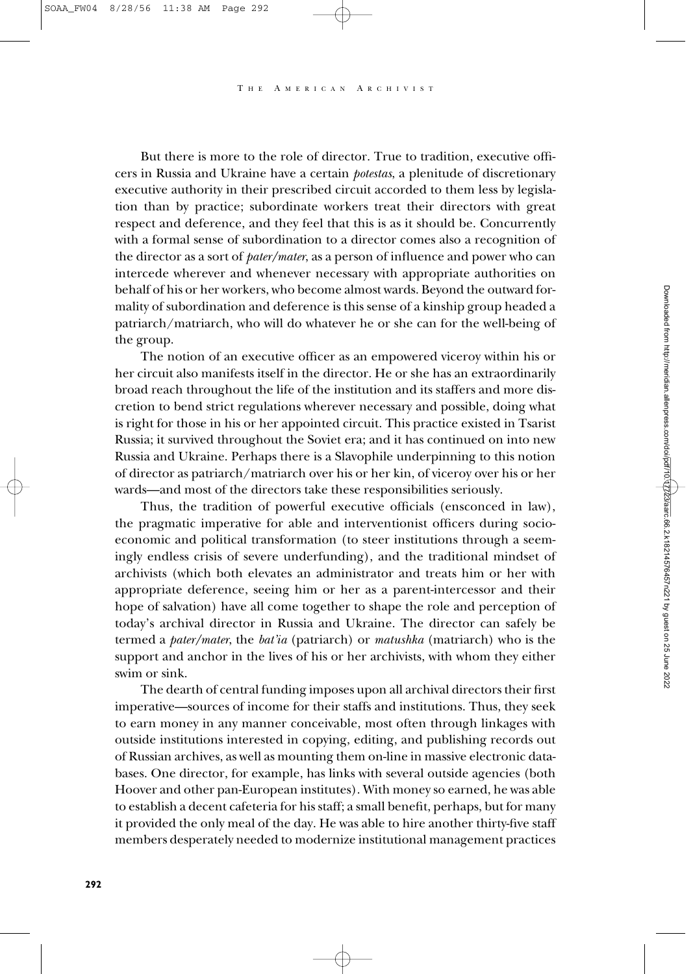But there is more to the role of director. True to tradition, executive officers in Russia and Ukraine have a certain *potestas*, a plenitude of discretionary executive authority in their prescribed circuit accorded to them less by legislation than by practice; subordinate workers treat their directors with great respect and deference, and they feel that this is as it should be. Concurrently with a formal sense of subordination to a director comes also a recognition of the director as a sort of *pater/mater*, as a person of influence and power who can intercede wherever and whenever necessary with appropriate authorities on behalf of his or her workers, who become almost wards. Beyond the outward formality of subordination and deference is this sense of a kinship group headed a patriarch/matriarch, who will do whatever he or she can for the well-being of the group.

The notion of an executive officer as an empowered viceroy within his or her circuit also manifests itself in the director. He or she has an extraordinarily broad reach throughout the life of the institution and its staffers and more discretion to bend strict regulations wherever necessary and possible, doing what is right for those in his or her appointed circuit. This practice existed in Tsarist Russia; it survived throughout the Soviet era; and it has continued on into new Russia and Ukraine. Perhaps there is a Slavophile underpinning to this notion of director as patriarch/matriarch over his or her kin, of viceroy over his or her wards—and most of the directors take these responsibilities seriously.

Thus, the tradition of powerful executive officials (ensconced in law), the pragmatic imperative for able and interventionist officers during socioeconomic and political transformation (to steer institutions through a seemingly endless crisis of severe underfunding), and the traditional mindset of archivists (which both elevates an administrator and treats him or her with appropriate deference, seeing him or her as a parent-intercessor and their hope of salvation) have all come together to shape the role and perception of today's archival director in Russia and Ukraine. The director can safely be termed a *pater/mater*, the *bat'ia* (patriarch) or *matushka* (matriarch) who is the support and anchor in the lives of his or her archivists, with whom they either swim or sink.

The dearth of central funding imposes upon all archival directors their first imperative—sources of income for their staffs and institutions. Thus, they seek to earn money in any manner conceivable, most often through linkages with outside institutions interested in copying, editing, and publishing records out of Russian archives, as well as mounting them on-line in massive electronic databases. One director, for example, has links with several outside agencies (both Hoover and other pan-European institutes). With money so earned, he was able to establish a decent cafeteria for his staff; a small benefit, perhaps, but for many it provided the only meal of the day. He was able to hire another thirty-five staff members desperately needed to modernize institutional management practices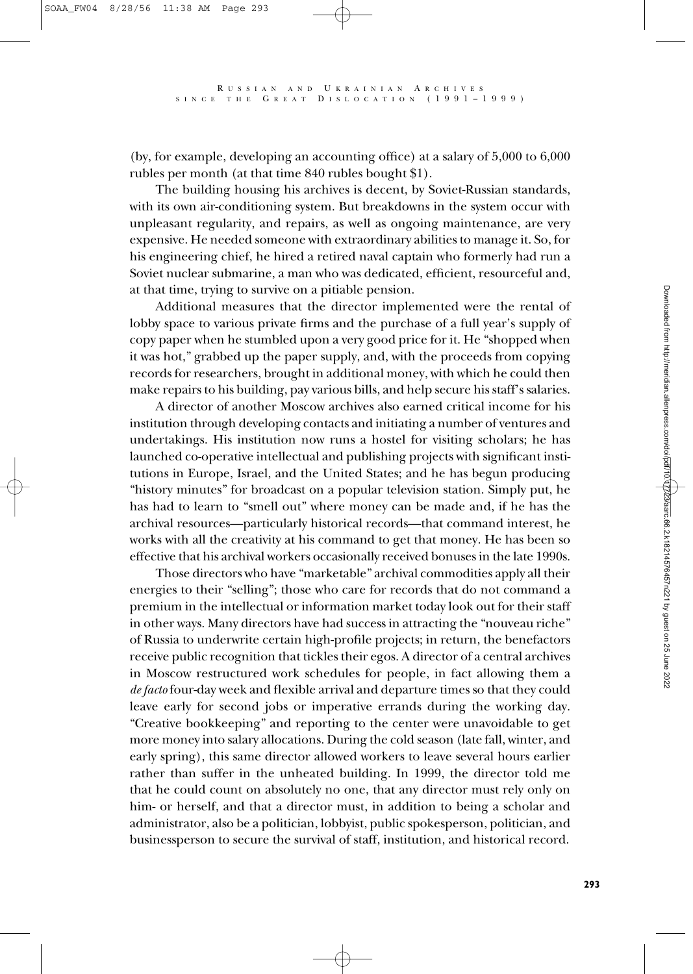(by, for example, developing an accounting office) at a salary of 5,000 to 6,000 rubles per month (at that time 840 rubles bought \$1).

The building housing his archives is decent, by Soviet-Russian standards, with its own air-conditioning system. But breakdowns in the system occur with unpleasant regularity, and repairs, as well as ongoing maintenance, are very expensive. He needed someone with extraordinary abilities to manage it. So, for his engineering chief, he hired a retired naval captain who formerly had run a Soviet nuclear submarine, a man who was dedicated, efficient, resourceful and, at that time, trying to survive on a pitiable pension.

Additional measures that the director implemented were the rental of lobby space to various private firms and the purchase of a full year's supply of copy paper when he stumbled upon a very good price for it. He "shopped when it was hot," grabbed up the paper supply, and, with the proceeds from copying records for researchers, brought in additional money, with which he could then make repairs to his building, pay various bills, and help secure his staff's salaries.

A director of another Moscow archives also earned critical income for his institution through developing contacts and initiating a number of ventures and undertakings. His institution now runs a hostel for visiting scholars; he has launched co-operative intellectual and publishing projects with significant institutions in Europe, Israel, and the United States; and he has begun producing "history minutes" for broadcast on a popular television station. Simply put, he has had to learn to "smell out" where money can be made and, if he has the archival resources—particularly historical records—that command interest, he works with all the creativity at his command to get that money. He has been so effective that his archival workers occasionally received bonuses in the late 1990s.

Those directors who have "marketable" archival commodities apply all their energies to their "selling"; those who care for records that do not command a premium in the intellectual or information market today look out for their staff in other ways. Many directors have had success in attracting the "nouveau riche" of Russia to underwrite certain high-profile projects; in return, the benefactors receive public recognition that tickles their egos. A director of a central archives in Moscow restructured work schedules for people, in fact allowing them a *de facto* four-day week and flexible arrival and departure times so that they could leave early for second jobs or imperative errands during the working day. "Creative bookkeeping" and reporting to the center were unavoidable to get more money into salary allocations. During the cold season (late fall, winter, and early spring), this same director allowed workers to leave several hours earlier rather than suffer in the unheated building. In 1999, the director told me that he could count on absolutely no one, that any director must rely only on him- or herself, and that a director must, in addition to being a scholar and administrator, also be a politician, lobbyist, public spokesperson, politician, and businessperson to secure the survival of staff, institution, and historical record.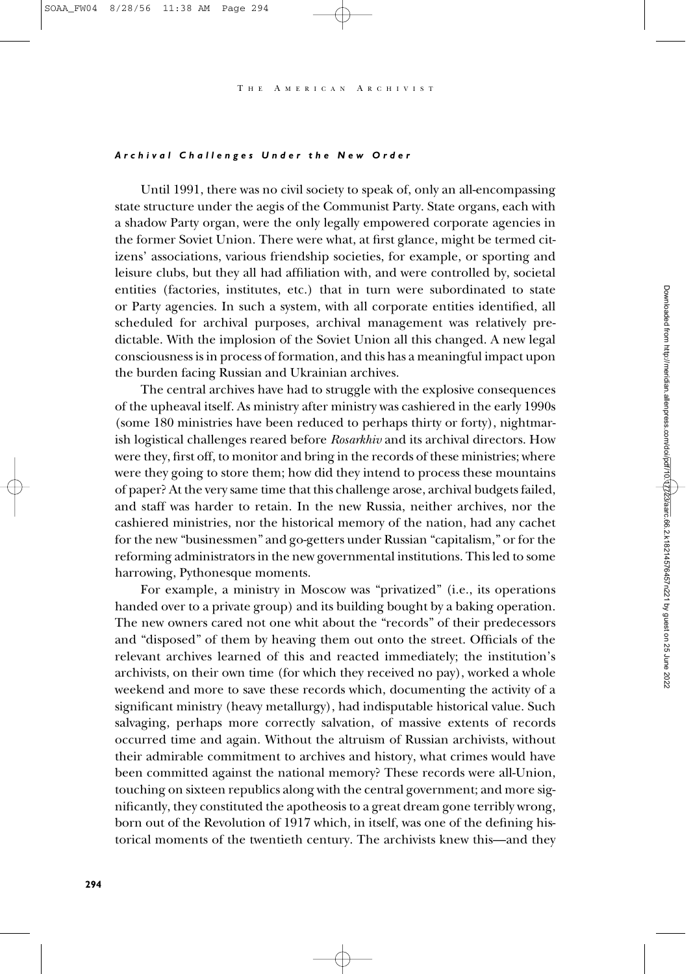#### *Archival Challenges Under the New Order*

Until 1991, there was no civil society to speak of, only an all-encompassing state structure under the aegis of the Communist Party. State organs, each with a shadow Party organ, were the only legally empowered corporate agencies in the former Soviet Union. There were what, at first glance, might be termed citizens' associations, various friendship societies, for example, or sporting and leisure clubs, but they all had affiliation with, and were controlled by, societal entities (factories, institutes, etc.) that in turn were subordinated to state or Party agencies. In such a system, with all corporate entities identified, all scheduled for archival purposes, archival management was relatively predictable. With the implosion of the Soviet Union all this changed. A new legal consciousness is in process of formation, and this has a meaningful impact upon the burden facing Russian and Ukrainian archives.

The central archives have had to struggle with the explosive consequences of the upheaval itself. As ministry after ministry was cashiered in the early 1990s (some 180 ministries have been reduced to perhaps thirty or forty), nightmarish logistical challenges reared before *Rosarkhiv* and its archival directors. How were they, first off, to monitor and bring in the records of these ministries; where were they going to store them; how did they intend to process these mountains of paper? At the very same time that this challenge arose, archival budgets failed, and staff was harder to retain. In the new Russia, neither archives, nor the cashiered ministries, nor the historical memory of the nation, had any cachet for the new "businessmen" and go-getters under Russian "capitalism," or for the reforming administrators in the new governmental institutions. This led to some harrowing, Pythonesque moments.

For example, a ministry in Moscow was "privatized" (i.e., its operations handed over to a private group) and its building bought by a baking operation. The new owners cared not one whit about the "records" of their predecessors and "disposed" of them by heaving them out onto the street. Officials of the relevant archives learned of this and reacted immediately; the institution's archivists, on their own time (for which they received no pay), worked a whole weekend and more to save these records which, documenting the activity of a significant ministry (heavy metallurgy), had indisputable historical value. Such salvaging, perhaps more correctly salvation, of massive extents of records occurred time and again. Without the altruism of Russian archivists, without their admirable commitment to archives and history, what crimes would have been committed against the national memory? These records were all-Union, touching on sixteen republics along with the central government; and more significantly, they constituted the apotheosis to a great dream gone terribly wrong, born out of the Revolution of 1917 which, in itself, was one of the defining historical moments of the twentieth century. The archivists knew this—and they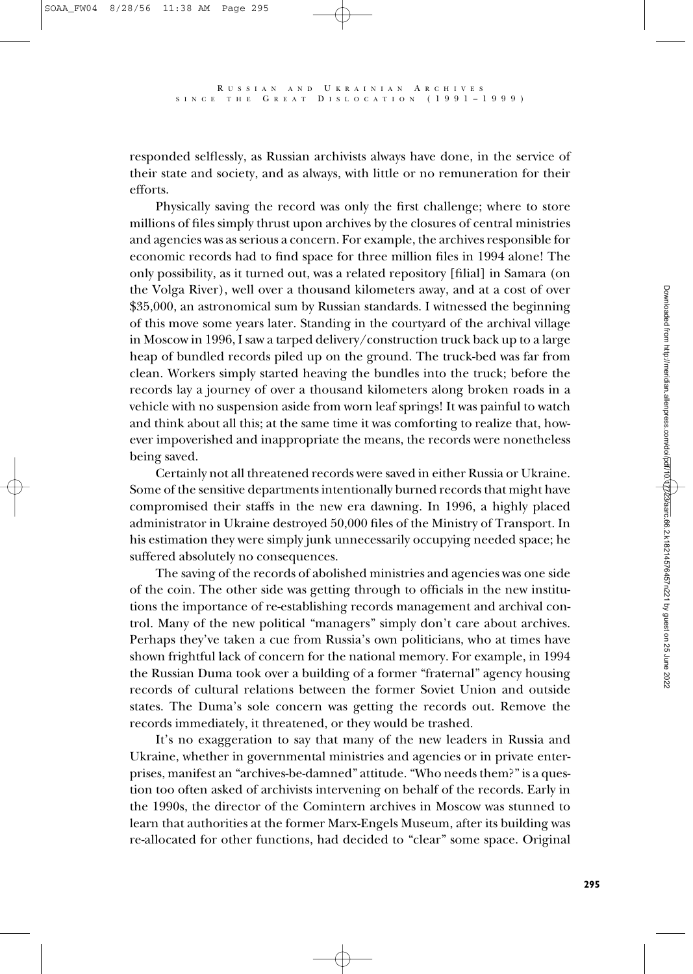responded selflessly, as Russian archivists always have done, in the service of their state and society, and as always, with little or no remuneration for their efforts.

Physically saving the record was only the first challenge; where to store millions of files simply thrust upon archives by the closures of central ministries and agencies was as serious a concern. For example, the archives responsible for economic records had to find space for three million files in 1994 alone! The only possibility, as it turned out, was a related repository [filial] in Samara (on the Volga River), well over a thousand kilometers away, and at a cost of over \$35,000, an astronomical sum by Russian standards. I witnessed the beginning of this move some years later. Standing in the courtyard of the archival village in Moscow in 1996, I saw a tarped delivery/construction truck back up to a large heap of bundled records piled up on the ground. The truck-bed was far from clean. Workers simply started heaving the bundles into the truck; before the records lay a journey of over a thousand kilometers along broken roads in a vehicle with no suspension aside from worn leaf springs! It was painful to watch and think about all this; at the same time it was comforting to realize that, however impoverished and inappropriate the means, the records were nonetheless being saved.

Certainly not all threatened records were saved in either Russia or Ukraine. Some of the sensitive departments intentionally burned records that might have compromised their staffs in the new era dawning. In 1996, a highly placed administrator in Ukraine destroyed 50,000 files of the Ministry of Transport. In his estimation they were simply junk unnecessarily occupying needed space; he suffered absolutely no consequences.

The saving of the records of abolished ministries and agencies was one side of the coin. The other side was getting through to officials in the new institutions the importance of re-establishing records management and archival control. Many of the new political "managers" simply don't care about archives. Perhaps they've taken a cue from Russia's own politicians, who at times have shown frightful lack of concern for the national memory. For example, in 1994 the Russian Duma took over a building of a former "fraternal" agency housing records of cultural relations between the former Soviet Union and outside states. The Duma's sole concern was getting the records out. Remove the records immediately, it threatened, or they would be trashed.

It's no exaggeration to say that many of the new leaders in Russia and Ukraine, whether in governmental ministries and agencies or in private enterprises, manifest an "archives-be-damned" attitude. "Who needs them?" is a question too often asked of archivists intervening on behalf of the records. Early in the 1990s, the director of the Comintern archives in Moscow was stunned to learn that authorities at the former Marx-Engels Museum, after its building was re-allocated for other functions, had decided to "clear" some space. Original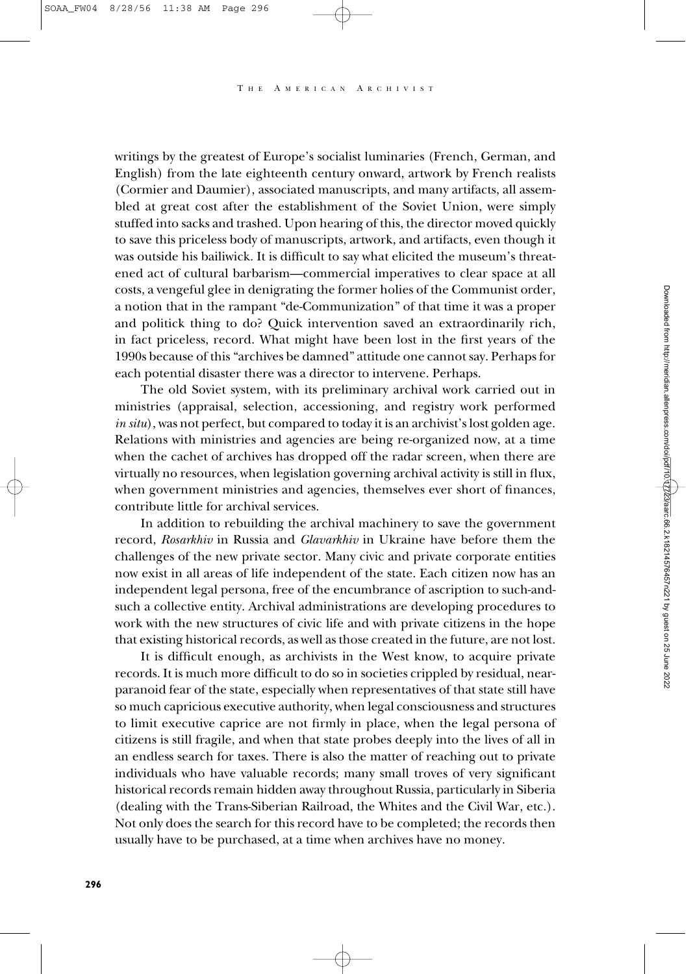writings by the greatest of Europe's socialist luminaries (French, German, and English) from the late eighteenth century onward, artwork by French realists (Cormier and Daumier), associated manuscripts, and many artifacts, all assembled at great cost after the establishment of the Soviet Union, were simply stuffed into sacks and trashed. Upon hearing of this, the director moved quickly to save this priceless body of manuscripts, artwork, and artifacts, even though it was outside his bailiwick. It is difficult to say what elicited the museum's threatened act of cultural barbarism—commercial imperatives to clear space at all costs, a vengeful glee in denigrating the former holies of the Communist order, a notion that in the rampant "de-Communization" of that time it was a proper and politick thing to do? Quick intervention saved an extraordinarily rich, in fact priceless, record. What might have been lost in the first years of the 1990s because of this "archives be damned" attitude one cannot say. Perhaps for each potential disaster there was a director to intervene. Perhaps.

The old Soviet system, with its preliminary archival work carried out in ministries (appraisal, selection, accessioning, and registry work performed *in situ*), was not perfect, but compared to today it is an archivist's lost golden age. Relations with ministries and agencies are being re-organized now, at a time when the cachet of archives has dropped off the radar screen, when there are virtually no resources, when legislation governing archival activity is still in flux, when government ministries and agencies, themselves ever short of finances, contribute little for archival services.

In addition to rebuilding the archival machinery to save the government record, *Rosarkhiv* in Russia and *Glavarkhiv* in Ukraine have before them the challenges of the new private sector. Many civic and private corporate entities now exist in all areas of life independent of the state. Each citizen now has an independent legal persona, free of the encumbrance of ascription to such-andsuch a collective entity. Archival administrations are developing procedures to work with the new structures of civic life and with private citizens in the hope that existing historical records, as well as those created in the future, are not lost.

It is difficult enough, as archivists in the West know, to acquire private records. It is much more difficult to do so in societies crippled by residual, nearparanoid fear of the state, especially when representatives of that state still have so much capricious executive authority, when legal consciousness and structures to limit executive caprice are not firmly in place, when the legal persona of citizens is still fragile, and when that state probes deeply into the lives of all in an endless search for taxes. There is also the matter of reaching out to private individuals who have valuable records; many small troves of very significant historical records remain hidden away throughout Russia, particularly in Siberia (dealing with the Trans-Siberian Railroad, the Whites and the Civil War, etc.). Not only does the search for this record have to be completed; the records then usually have to be purchased, at a time when archives have no money.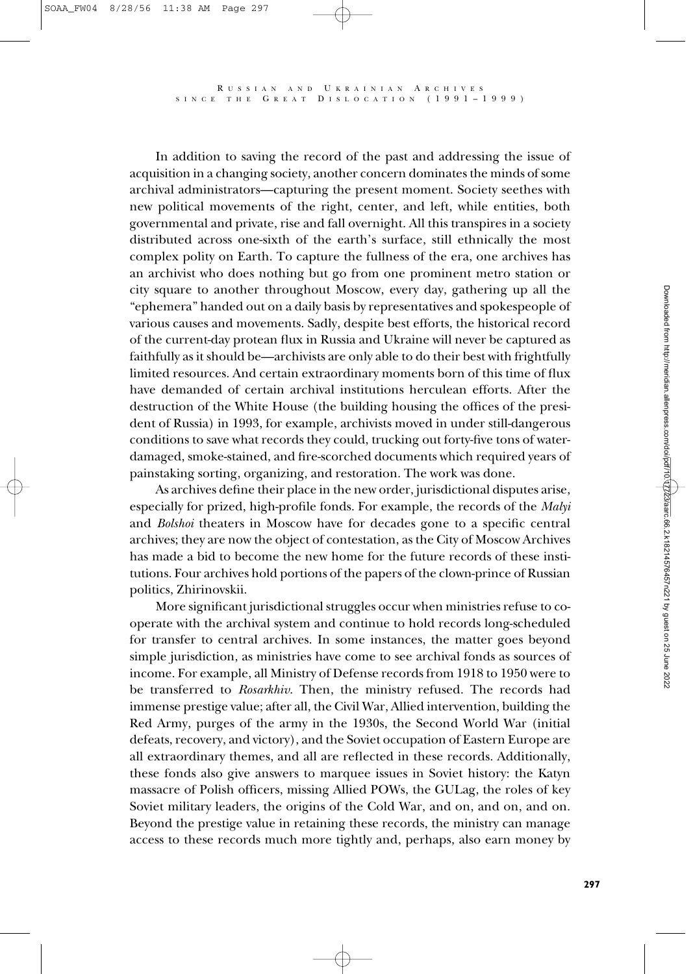In addition to saving the record of the past and addressing the issue of acquisition in a changing society, another concern dominates the minds of some archival administrators—capturing the present moment. Society seethes with new political movements of the right, center, and left, while entities, both governmental and private, rise and fall overnight. All this transpires in a society distributed across one-sixth of the earth's surface, still ethnically the most complex polity on Earth. To capture the fullness of the era, one archives has an archivist who does nothing but go from one prominent metro station or city square to another throughout Moscow, every day, gathering up all the "ephemera" handed out on a daily basis by representatives and spokespeople of various causes and movements. Sadly, despite best efforts, the historical record of the current-day protean flux in Russia and Ukraine will never be captured as faithfully as it should be—archivists are only able to do their best with frightfully limited resources. And certain extraordinary moments born of this time of flux have demanded of certain archival institutions herculean efforts. After the destruction of the White House (the building housing the offices of the president of Russia) in 1993, for example, archivists moved in under still-dangerous conditions to save what records they could, trucking out forty-five tons of waterdamaged, smoke-stained, and fire-scorched documents which required years of painstaking sorting, organizing, and restoration. The work was done.

As archives define their place in the new order, jurisdictional disputes arise, especially for prized, high-profile fonds. For example, the records of the *Malyi* and *Bolshoi* theaters in Moscow have for decades gone to a specific central archives; they are now the object of contestation, as the City of Moscow Archives has made a bid to become the new home for the future records of these institutions. Four archives hold portions of the papers of the clown-prince of Russian politics, Zhirinovskii.

More significant jurisdictional struggles occur when ministries refuse to cooperate with the archival system and continue to hold records long-scheduled for transfer to central archives. In some instances, the matter goes beyond simple jurisdiction, as ministries have come to see archival fonds as sources of income. For example, all Ministry of Defense records from 1918 to 1950 were to be transferred to *Rosarkhiv*. Then, the ministry refused. The records had immense prestige value; after all, the Civil War, Allied intervention, building the Red Army, purges of the army in the 1930s, the Second World War (initial defeats, recovery, and victory), and the Soviet occupation of Eastern Europe are all extraordinary themes, and all are reflected in these records. Additionally, these fonds also give answers to marquee issues in Soviet history: the Katyn massacre of Polish officers, missing Allied POWs, the GULag, the roles of key Soviet military leaders, the origins of the Cold War, and on, and on, and on. Beyond the prestige value in retaining these records, the ministry can manage access to these records much more tightly and, perhaps, also earn money by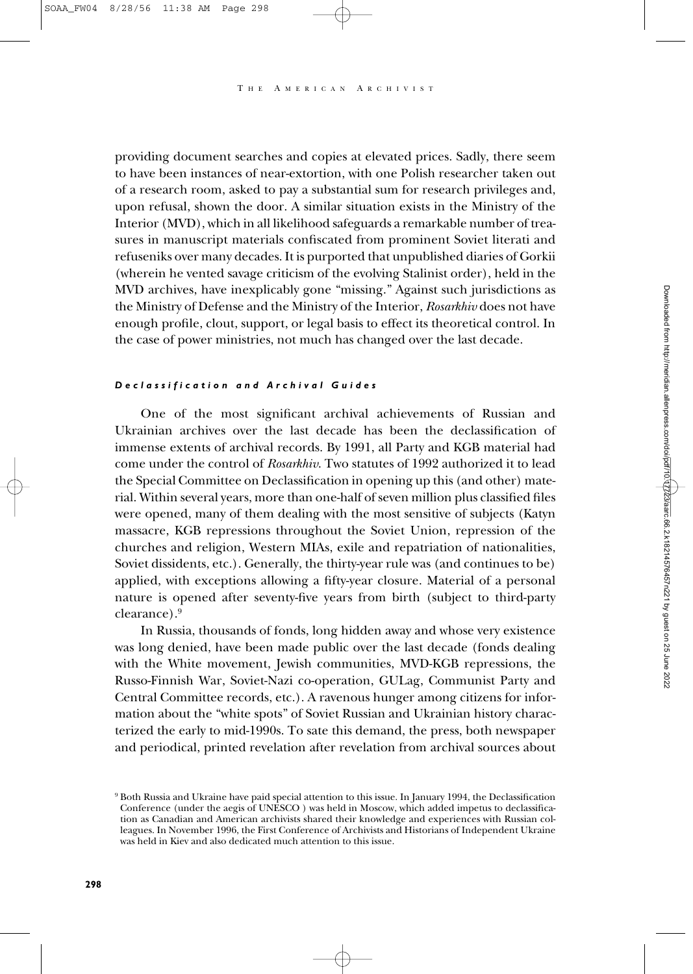providing document searches and copies at elevated prices. Sadly, there seem to have been instances of near-extortion, with one Polish researcher taken out of a research room, asked to pay a substantial sum for research privileges and, upon refusal, shown the door. A similar situation exists in the Ministry of the Interior (MVD), which in all likelihood safeguards a remarkable number of treasures in manuscript materials confiscated from prominent Soviet literati and refuseniks over many decades. It is purported that unpublished diaries of Gorkii (wherein he vented savage criticism of the evolving Stalinist order), held in the MVD archives, have inexplicably gone "missing." Against such jurisdictions as the Ministry of Defense and the Ministry of the Interior, *Rosarkhiv* does not have enough profile, clout, support, or legal basis to effect its theoretical control. In the case of power ministries, not much has changed over the last decade.

### *Declassification and Archival Guides*

One of the most significant archival achievements of Russian and Ukrainian archives over the last decade has been the declassification of immense extents of archival records. By 1991, all Party and KGB material had come under the control of *Rosarkhiv*. Two statutes of 1992 authorized it to lead the Special Committee on Declassification in opening up this (and other) material. Within several years, more than one-half of seven million plus classified files were opened, many of them dealing with the most sensitive of subjects (Katyn massacre, KGB repressions throughout the Soviet Union, repression of the churches and religion, Western MIAs, exile and repatriation of nationalities, Soviet dissidents, etc.). Generally, the thirty-year rule was (and continues to be) applied, with exceptions allowing a fifty-year closure. Material of a personal nature is opened after seventy-five years from birth (subject to third-party clearance).9

In Russia, thousands of fonds, long hidden away and whose very existence was long denied, have been made public over the last decade (fonds dealing with the White movement, Jewish communities, MVD-KGB repressions, the Russo-Finnish War, Soviet-Nazi co-operation, GULag, Communist Party and Central Committee records, etc.). A ravenous hunger among citizens for information about the "white spots" of Soviet Russian and Ukrainian history characterized the early to mid-1990s. To sate this demand, the press, both newspaper and periodical, printed revelation after revelation from archival sources about

<sup>9</sup> Both Russia and Ukraine have paid special attention to this issue. In January 1994, the Declassification Conference (under the aegis of UNESCO ) was held in Moscow, which added impetus to declassification as Canadian and American archivists shared their knowledge and experiences with Russian colleagues. In November 1996, the First Conference of Archivists and Historians of Independent Ukraine was held in Kiev and also dedicated much attention to this issue.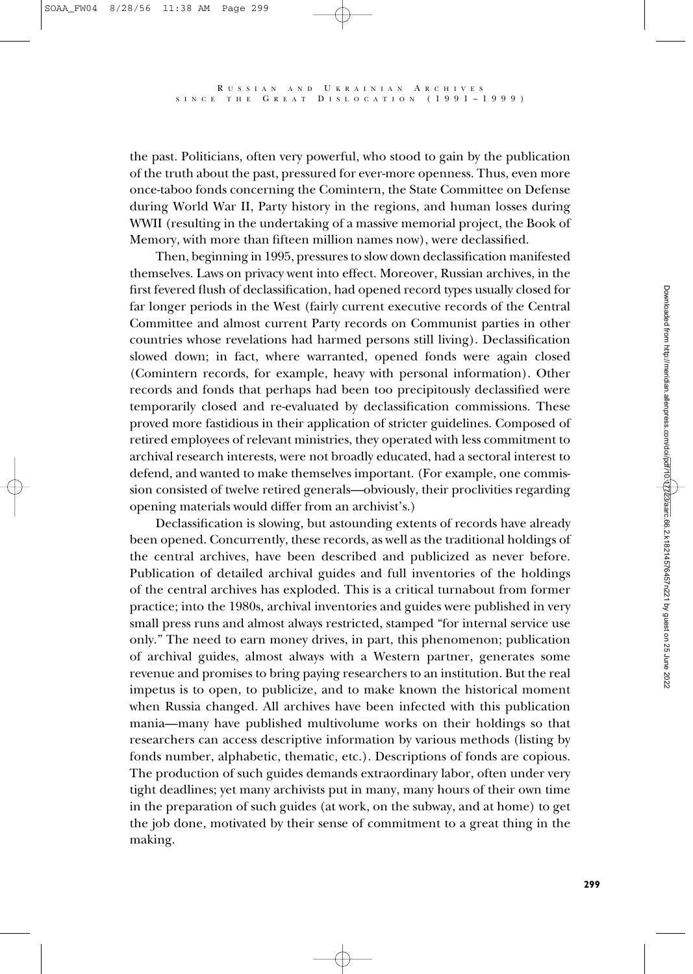the past. Politicians, often very powerful, who stood to gain by the publication of the truth about the past, pressured for ever-more openness. Thus, even more once-taboo fonds concerning the Comintern, the State Committee on Defense during World War II, Party history in the regions, and human losses during WWII (resulting in the undertaking of a massive memorial project, the Book of Memory, with more than fifteen million names now), were declassified.

Then, beginning in 1995, pressures to slow down declassification manifested themselves. Laws on privacy went into effect. Moreover, Russian archives, in the first fevered flush of declassification, had opened record types usually closed for far longer periods in the West (fairly current executive records of the Central Committee and almost current Party records on Communist parties in other countries whose revelations had harmed persons still living). Declassification slowed down; in fact, where warranted, opened fonds were again closed (Comintern records, for example, heavy with personal information). Other records and fonds that perhaps had been too precipitously declassified were temporarily closed and re-evaluated by declassification commissions. These proved more fastidious in their application of stricter guidelines. Composed of retired employees of relevant ministries, they operated with less commitment to archival research interests, were not broadly educated, had a sectoral interest to defend, and wanted to make themselves important. (For example, one commission consisted of twelve retired generals—obviously, their proclivities regarding opening materials would differ from an archivist's.)

Declassification is slowing, but astounding extents of records have already been opened. Concurrently, these records, as well as the traditional holdings of the central archives, have been described and publicized as never before. Publication of detailed archival guides and full inventories of the holdings of the central archives has exploded. This is a critical turnabout from former practice; into the 1980s, archival inventories and guides were published in very small press runs and almost always restricted, stamped "for internal service use only." The need to earn money drives, in part, this phenomenon; publication of archival guides, almost always with a Western partner, generates some revenue and promises to bring paying researchers to an institution. But the real impetus is to open, to publicize, and to make known the historical moment when Russia changed. All archives have been infected with this publication mania—many have published multivolume works on their holdings so that researchers can access descriptive information by various methods (listing by fonds number, alphabetic, thematic, etc.). Descriptions of fonds are copious. The production of such guides demands extraordinary labor, often under very tight deadlines; yet many archivists put in many, many hours of their own time in the preparation of such guides (at work, on the subway, and at home) to get the job done, motivated by their sense of commitment to a great thing in the making.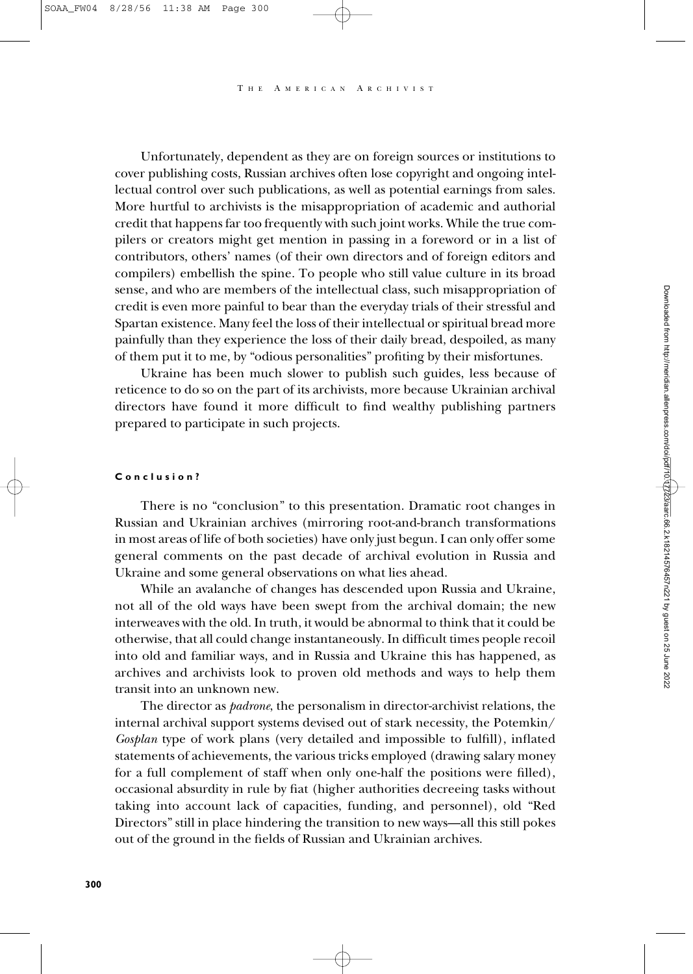A MERICAN ARCHIVIST

Unfortunately, dependent as they are on foreign sources or institutions to cover publishing costs, Russian archives often lose copyright and ongoing intellectual control over such publications, as well as potential earnings from sales. More hurtful to archivists is the misappropriation of academic and authorial credit that happens far too frequently with such joint works. While the true compilers or creators might get mention in passing in a foreword or in a list of contributors, others' names (of their own directors and of foreign editors and compilers) embellish the spine. To people who still value culture in its broad sense, and who are members of the intellectual class, such misappropriation of credit is even more painful to bear than the everyday trials of their stressful and Spartan existence. Many feel the loss of their intellectual or spiritual bread more painfully than they experience the loss of their daily bread, despoiled, as many of them put it to me, by "odious personalities" profiting by their misfortunes.

Ukraine has been much slower to publish such guides, less because of reticence to do so on the part of its archivists, more because Ukrainian archival directors have found it more difficult to find wealthy publishing partners prepared to participate in such projects.

## **Conclusion?**

There is no "conclusion" to this presentation. Dramatic root changes in Russian and Ukrainian archives (mirroring root-and-branch transformations in most areas of life of both societies) have only just begun. I can only offer some general comments on the past decade of archival evolution in Russia and Ukraine and some general observations on what lies ahead.

While an avalanche of changes has descended upon Russia and Ukraine, not all of the old ways have been swept from the archival domain; the new interweaves with the old. In truth, it would be abnormal to think that it could be otherwise, that all could change instantaneously. In difficult times people recoil into old and familiar ways, and in Russia and Ukraine this has happened, as archives and archivists look to proven old methods and ways to help them transit into an unknown new.

The director as *padrone*, the personalism in director-archivist relations, the internal archival support systems devised out of stark necessity, the Potemkin/ *Gosplan* type of work plans (very detailed and impossible to fulfill), inflated statements of achievements, the various tricks employed (drawing salary money for a full complement of staff when only one-half the positions were filled), occasional absurdity in rule by fiat (higher authorities decreeing tasks without taking into account lack of capacities, funding, and personnel), old "Red Directors" still in place hindering the transition to new ways—all this still pokes out of the ground in the fields of Russian and Ukrainian archives.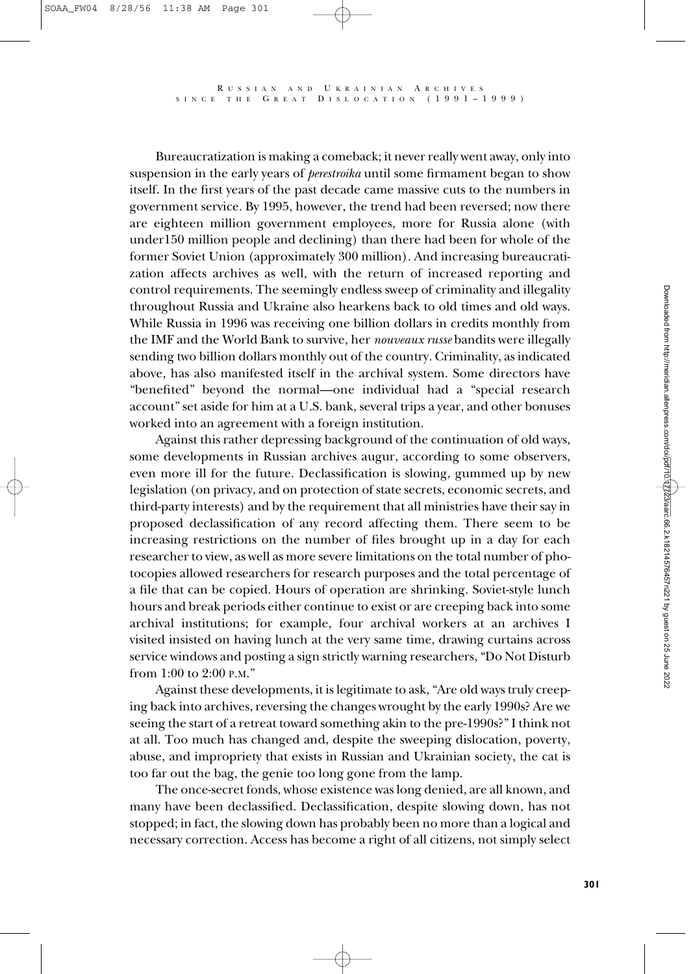Bureaucratization is making a comeback; it never really went away, only into suspension in the early years of *perestroika* until some firmament began to show itself. In the first years of the past decade came massive cuts to the numbers in government service. By 1995, however, the trend had been reversed; now there are eighteen million government employees, more for Russia alone (with under150 million people and declining) than there had been for whole of the former Soviet Union (approximately 300 million). And increasing bureaucratization affects archives as well, with the return of increased reporting and control requirements. The seemingly endless sweep of criminality and illegality throughout Russia and Ukraine also hearkens back to old times and old ways. While Russia in 1996 was receiving one billion dollars in credits monthly from the IMF and the World Bank to survive, her *nouveaux russe* bandits were illegally sending two billion dollars monthly out of the country. Criminality, as indicated above, has also manifested itself in the archival system. Some directors have "benefited" beyond the normal—one individual had a "special research account" set aside for him at a U.S. bank, several trips a year, and other bonuses worked into an agreement with a foreign institution.

Against this rather depressing background of the continuation of old ways, some developments in Russian archives augur, according to some observers, even more ill for the future. Declassification is slowing, gummed up by new legislation (on privacy, and on protection of state secrets, economic secrets, and third-party interests) and by the requirement that all ministries have their say in proposed declassification of any record affecting them. There seem to be increasing restrictions on the number of files brought up in a day for each researcher to view, as well as more severe limitations on the total number of photocopies allowed researchers for research purposes and the total percentage of a file that can be copied. Hours of operation are shrinking. Soviet-style lunch hours and break periods either continue to exist or are creeping back into some archival institutions; for example, four archival workers at an archives I visited insisted on having lunch at the very same time, drawing curtains across service windows and posting a sign strictly warning researchers, "Do Not Disturb from 1:00 to 2:00 P.M."

Against these developments, it is legitimate to ask, "Are old ways truly creeping back into archives, reversing the changes wrought by the early 1990s? Are we seeing the start of a retreat toward something akin to the pre-1990s?" I think not at all. Too much has changed and, despite the sweeping dislocation, poverty, abuse, and impropriety that exists in Russian and Ukrainian society, the cat is too far out the bag, the genie too long gone from the lamp.

The once-secret fonds, whose existence was long denied, are all known, and many have been declassified. Declassification, despite slowing down, has not stopped; in fact, the slowing down has probably been no more than a logical and necessary correction. Access has become a right of all citizens, not simply select